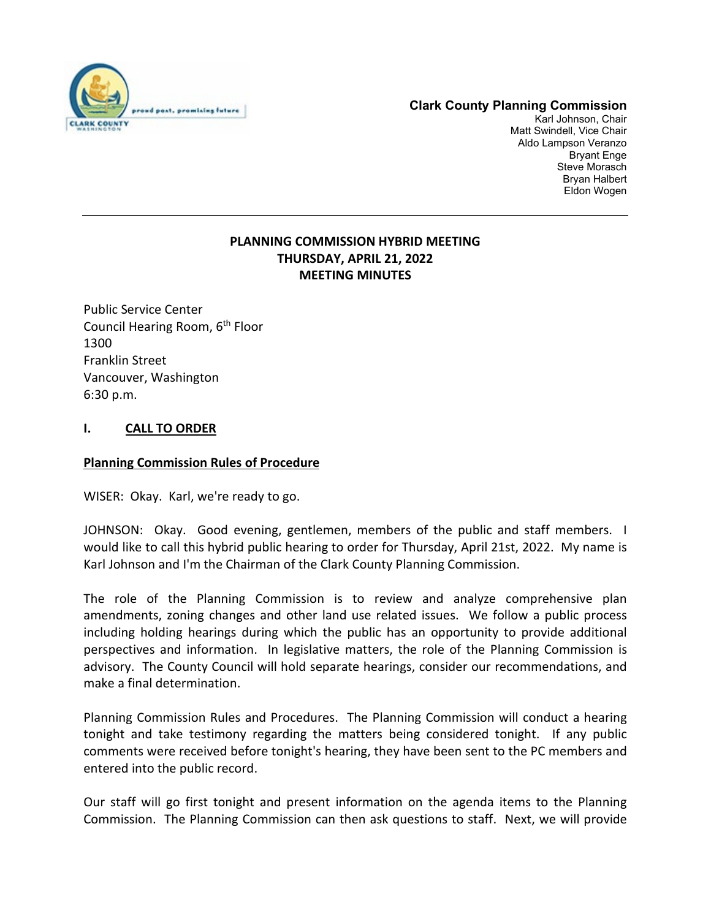

# **Clark County Planning Commission**

Karl Johnson, Chair Matt Swindell, Vice Chair Aldo Lampson Veranzo Bryant Enge Steve Morasch Bryan Halbert Eldon Wogen

# **PLANNING COMMISSION HYBRID MEETING THURSDAY, APRIL 21, 2022 MEETING MINUTES**

Public Service Center Council Hearing Room, 6th Floor 1300 Franklin Street Vancouver, Washington 6:30 p.m.

# **I. CALL TO ORDER**

## **Planning Commission Rules of Procedure**

WISER: Okay. Karl, we're ready to go.

JOHNSON: Okay. Good evening, gentlemen, members of the public and staff members. I would like to call this hybrid public hearing to order for Thursday, April 21st, 2022. My name is Karl Johnson and I'm the Chairman of the Clark County Planning Commission.

The role of the Planning Commission is to review and analyze comprehensive plan amendments, zoning changes and other land use related issues. We follow a public process including holding hearings during which the public has an opportunity to provide additional perspectives and information. In legislative matters, the role of the Planning Commission is advisory. The County Council will hold separate hearings, consider our recommendations, and make a final determination.

Planning Commission Rules and Procedures. The Planning Commission will conduct a hearing tonight and take testimony regarding the matters being considered tonight. If any public comments were received before tonight's hearing, they have been sent to the PC members and entered into the public record.

Our staff will go first tonight and present information on the agenda items to the Planning Commission. The Planning Commission can then ask questions to staff. Next, we will provide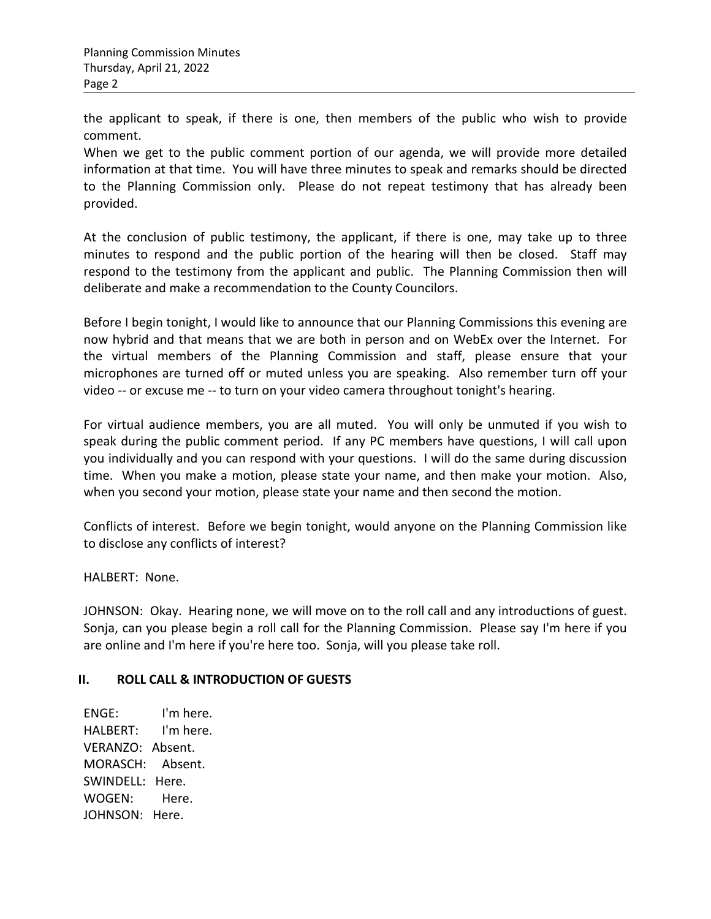the applicant to speak, if there is one, then members of the public who wish to provide comment.

When we get to the public comment portion of our agenda, we will provide more detailed information at that time. You will have three minutes to speak and remarks should be directed to the Planning Commission only. Please do not repeat testimony that has already been provided.

At the conclusion of public testimony, the applicant, if there is one, may take up to three minutes to respond and the public portion of the hearing will then be closed. Staff may respond to the testimony from the applicant and public. The Planning Commission then will deliberate and make a recommendation to the County Councilors.

Before I begin tonight, I would like to announce that our Planning Commissions this evening are now hybrid and that means that we are both in person and on WebEx over the Internet. For the virtual members of the Planning Commission and staff, please ensure that your microphones are turned off or muted unless you are speaking. Also remember turn off your video -- or excuse me -- to turn on your video camera throughout tonight's hearing.

For virtual audience members, you are all muted. You will only be unmuted if you wish to speak during the public comment period. If any PC members have questions, I will call upon you individually and you can respond with your questions. I will do the same during discussion time. When you make a motion, please state your name, and then make your motion. Also, when you second your motion, please state your name and then second the motion.

Conflicts of interest. Before we begin tonight, would anyone on the Planning Commission like to disclose any conflicts of interest?

HALBERT: None.

JOHNSON: Okay. Hearing none, we will move on to the roll call and any introductions of guest. Sonja, can you please begin a roll call for the Planning Commission. Please say I'm here if you are online and I'm here if you're here too. Sonja, will you please take roll.

# **II. ROLL CALL & INTRODUCTION OF GUESTS**

ENGE: I'm here. HALBERT: I'm here. VERANZO: Absent. MORASCH: Absent. SWINDELL: Here. WOGEN: Here. JOHNSON: Here.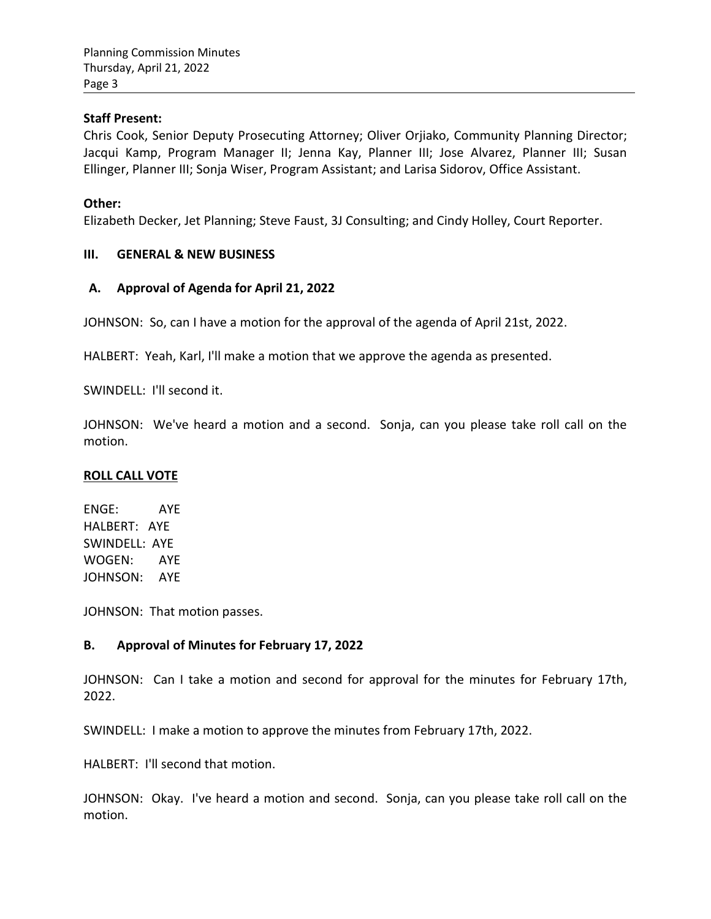### **Staff Present:**

Chris Cook, Senior Deputy Prosecuting Attorney; Oliver Orjiako, Community Planning Director; Jacqui Kamp, Program Manager II; Jenna Kay, Planner III; Jose Alvarez, Planner III; Susan Ellinger, Planner III; Sonja Wiser, Program Assistant; and Larisa Sidorov, Office Assistant.

### **Other:**

Elizabeth Decker, Jet Planning; Steve Faust, 3J Consulting; and Cindy Holley, Court Reporter.

### **III. GENERAL & NEW BUSINESS**

### **A. Approval of Agenda for April 21, 2022**

JOHNSON: So, can I have a motion for the approval of the agenda of April 21st, 2022.

HALBERT: Yeah, Karl, I'll make a motion that we approve the agenda as presented.

SWINDELL: I'll second it.

JOHNSON: We've heard a motion and a second. Sonja, can you please take roll call on the motion.

#### **ROLL CALL VOTE**

ENGE: AYE HALBERT: AYE SWINDELL: AYE WOGEN: AYE JOHNSON: AYE

JOHNSON: That motion passes.

## **B. Approval of Minutes for February 17, 2022**

JOHNSON: Can I take a motion and second for approval for the minutes for February 17th, 2022.

SWINDELL: I make a motion to approve the minutes from February 17th, 2022.

HALBERT: I'll second that motion.

JOHNSON: Okay. I've heard a motion and second. Sonja, can you please take roll call on the motion.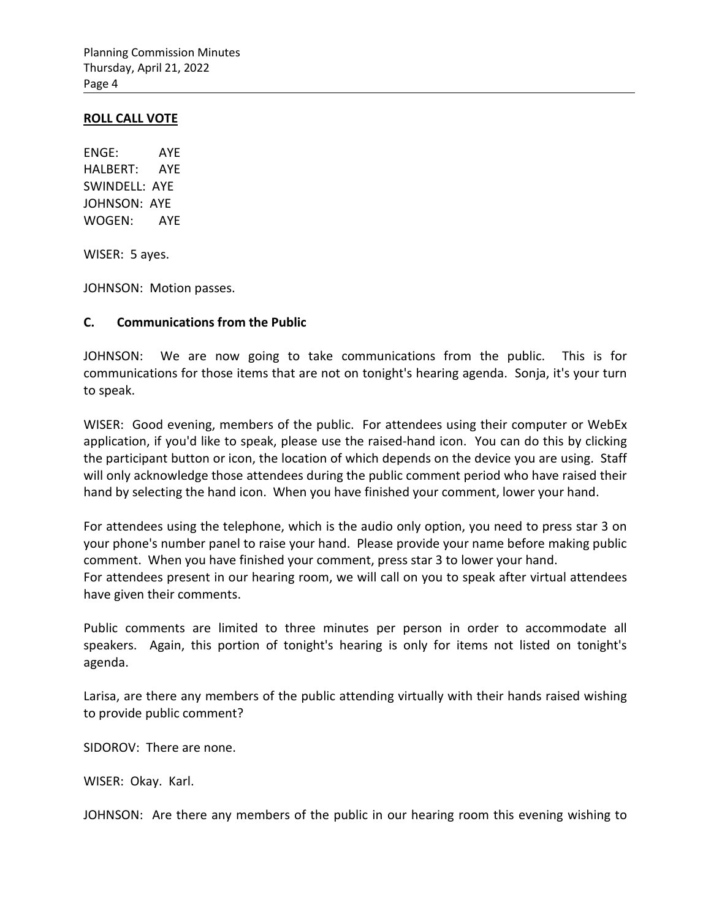#### **ROLL CALL VOTE**

ENGE: AYE HALBERT: AYE SWINDELL: AYE JOHNSON: AYE WOGEN: AYE

WISER: 5 ayes.

JOHNSON: Motion passes.

#### **C. Communications from the Public**

JOHNSON: We are now going to take communications from the public. This is for communications for those items that are not on tonight's hearing agenda. Sonja, it's your turn to speak.

WISER: Good evening, members of the public. For attendees using their computer or WebEx application, if you'd like to speak, please use the raised-hand icon. You can do this by clicking the participant button or icon, the location of which depends on the device you are using. Staff will only acknowledge those attendees during the public comment period who have raised their hand by selecting the hand icon. When you have finished your comment, lower your hand.

For attendees using the telephone, which is the audio only option, you need to press star 3 on your phone's number panel to raise your hand. Please provide your name before making public comment. When you have finished your comment, press star 3 to lower your hand. For attendees present in our hearing room, we will call on you to speak after virtual attendees have given their comments.

Public comments are limited to three minutes per person in order to accommodate all speakers. Again, this portion of tonight's hearing is only for items not listed on tonight's agenda.

Larisa, are there any members of the public attending virtually with their hands raised wishing to provide public comment?

SIDOROV: There are none.

WISER: Okay. Karl.

JOHNSON: Are there any members of the public in our hearing room this evening wishing to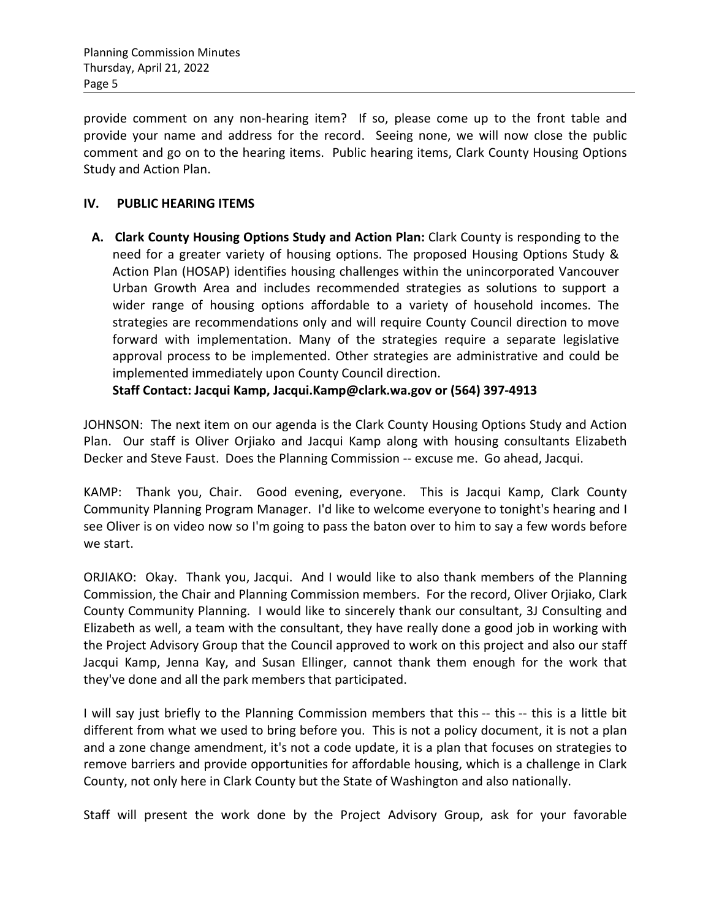provide comment on any non-hearing item? If so, please come up to the front table and provide your name and address for the record. Seeing none, we will now close the public comment and go on to the hearing items. Public hearing items, Clark County Housing Options Study and Action Plan.

## **IV. PUBLIC HEARING ITEMS**

**A. Clark County Housing Options Study and Action Plan:** Clark County is responding to the need for a greater variety of housing options. The proposed Housing Options Study & Action Plan (HOSAP) identifies housing challenges within the unincorporated Vancouver Urban Growth Area and includes recommended strategies as solutions to support a wider range of housing options affordable to a variety of household incomes. The strategies are recommendations only and will require County Council direction to move forward with implementation. Many of the strategies require a separate legislative approval process to be implemented. Other strategies are administrative and could be implemented immediately upon County Council direction.

**Staff Contact: Jacqui Kamp, [Jacqui.Kamp@clark.wa.gov o](mailto:Jacqui.Kamp@clark.wa.gov)r (564) 397-4913**

JOHNSON: The next item on our agenda is the Clark County Housing Options Study and Action Plan. Our staff is Oliver Orjiako and Jacqui Kamp along with housing consultants Elizabeth Decker and Steve Faust. Does the Planning Commission -- excuse me. Go ahead, Jacqui.

KAMP: Thank you, Chair. Good evening, everyone. This is Jacqui Kamp, Clark County Community Planning Program Manager. I'd like to welcome everyone to tonight's hearing and I see Oliver is on video now so I'm going to pass the baton over to him to say a few words before we start.

ORJIAKO: Okay. Thank you, Jacqui. And I would like to also thank members of the Planning Commission, the Chair and Planning Commission members. For the record, Oliver Orjiako, Clark County Community Planning. I would like to sincerely thank our consultant, 3J Consulting and Elizabeth as well, a team with the consultant, they have really done a good job in working with the Project Advisory Group that the Council approved to work on this project and also our staff Jacqui Kamp, Jenna Kay, and Susan Ellinger, cannot thank them enough for the work that they've done and all the park members that participated.

I will say just briefly to the Planning Commission members that this -- this -- this is a little bit different from what we used to bring before you. This is not a policy document, it is not a plan and a zone change amendment, it's not a code update, it is a plan that focuses on strategies to remove barriers and provide opportunities for affordable housing, which is a challenge in Clark County, not only here in Clark County but the State of Washington and also nationally.

Staff will present the work done by the Project Advisory Group, ask for your favorable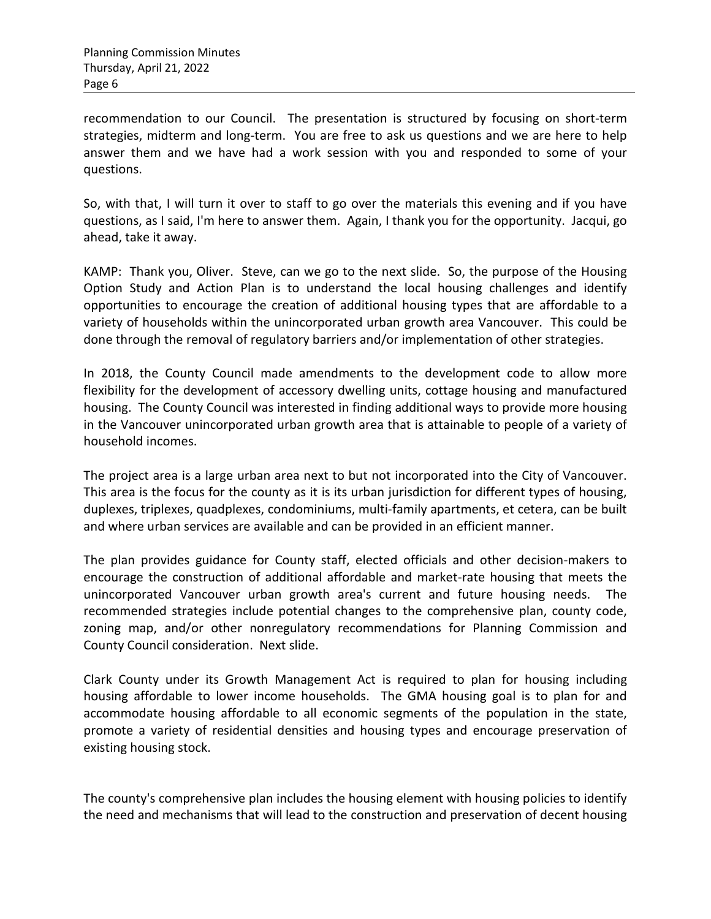recommendation to our Council. The presentation is structured by focusing on short-term strategies, midterm and long-term. You are free to ask us questions and we are here to help answer them and we have had a work session with you and responded to some of your questions.

So, with that, I will turn it over to staff to go over the materials this evening and if you have questions, as I said, I'm here to answer them. Again, I thank you for the opportunity. Jacqui, go ahead, take it away.

KAMP: Thank you, Oliver. Steve, can we go to the next slide. So, the purpose of the Housing Option Study and Action Plan is to understand the local housing challenges and identify opportunities to encourage the creation of additional housing types that are affordable to a variety of households within the unincorporated urban growth area Vancouver. This could be done through the removal of regulatory barriers and/or implementation of other strategies.

In 2018, the County Council made amendments to the development code to allow more flexibility for the development of accessory dwelling units, cottage housing and manufactured housing. The County Council was interested in finding additional ways to provide more housing in the Vancouver unincorporated urban growth area that is attainable to people of a variety of household incomes.

The project area is a large urban area next to but not incorporated into the City of Vancouver. This area is the focus for the county as it is its urban jurisdiction for different types of housing, duplexes, triplexes, quadplexes, condominiums, multi-family apartments, et cetera, can be built and where urban services are available and can be provided in an efficient manner.

The plan provides guidance for County staff, elected officials and other decision-makers to encourage the construction of additional affordable and market-rate housing that meets the unincorporated Vancouver urban growth area's current and future housing needs. The recommended strategies include potential changes to the comprehensive plan, county code, zoning map, and/or other nonregulatory recommendations for Planning Commission and County Council consideration. Next slide.

Clark County under its Growth Management Act is required to plan for housing including housing affordable to lower income households. The GMA housing goal is to plan for and accommodate housing affordable to all economic segments of the population in the state, promote a variety of residential densities and housing types and encourage preservation of existing housing stock.

The county's comprehensive plan includes the housing element with housing policies to identify the need and mechanisms that will lead to the construction and preservation of decent housing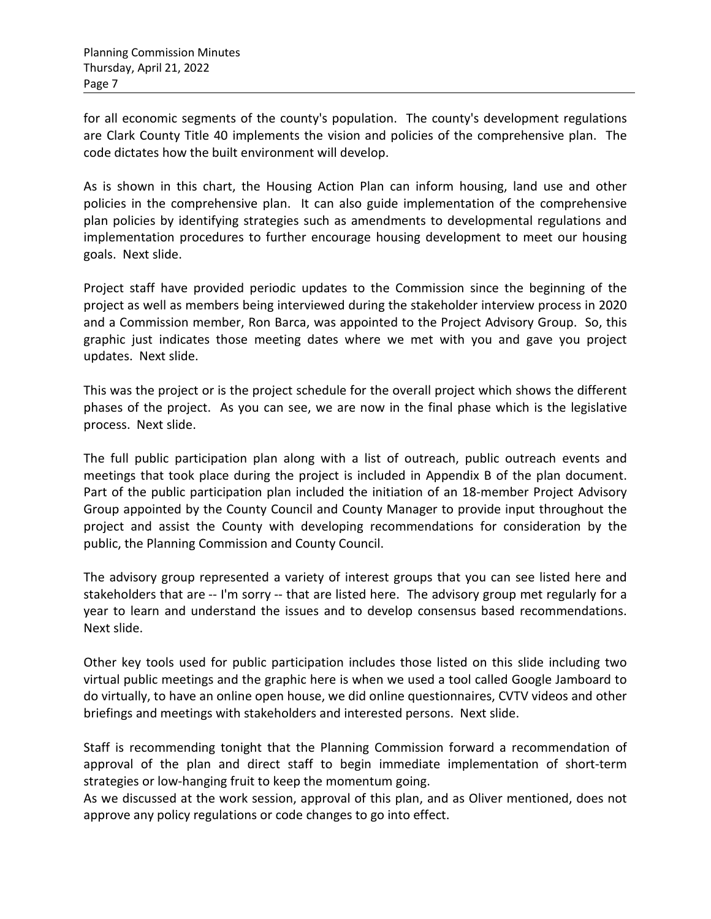for all economic segments of the county's population. The county's development regulations are Clark County Title 40 implements the vision and policies of the comprehensive plan. The code dictates how the built environment will develop.

As is shown in this chart, the Housing Action Plan can inform housing, land use and other policies in the comprehensive plan. It can also guide implementation of the comprehensive plan policies by identifying strategies such as amendments to developmental regulations and implementation procedures to further encourage housing development to meet our housing goals. Next slide.

Project staff have provided periodic updates to the Commission since the beginning of the project as well as members being interviewed during the stakeholder interview process in 2020 and a Commission member, Ron Barca, was appointed to the Project Advisory Group. So, this graphic just indicates those meeting dates where we met with you and gave you project updates. Next slide.

This was the project or is the project schedule for the overall project which shows the different phases of the project. As you can see, we are now in the final phase which is the legislative process. Next slide.

The full public participation plan along with a list of outreach, public outreach events and meetings that took place during the project is included in Appendix B of the plan document. Part of the public participation plan included the initiation of an 18-member Project Advisory Group appointed by the County Council and County Manager to provide input throughout the project and assist the County with developing recommendations for consideration by the public, the Planning Commission and County Council.

The advisory group represented a variety of interest groups that you can see listed here and stakeholders that are -- I'm sorry -- that are listed here. The advisory group met regularly for a year to learn and understand the issues and to develop consensus based recommendations. Next slide.

Other key tools used for public participation includes those listed on this slide including two virtual public meetings and the graphic here is when we used a tool called Google Jamboard to do virtually, to have an online open house, we did online questionnaires, CVTV videos and other briefings and meetings with stakeholders and interested persons. Next slide.

Staff is recommending tonight that the Planning Commission forward a recommendation of approval of the plan and direct staff to begin immediate implementation of short-term strategies or low-hanging fruit to keep the momentum going.

As we discussed at the work session, approval of this plan, and as Oliver mentioned, does not approve any policy regulations or code changes to go into effect.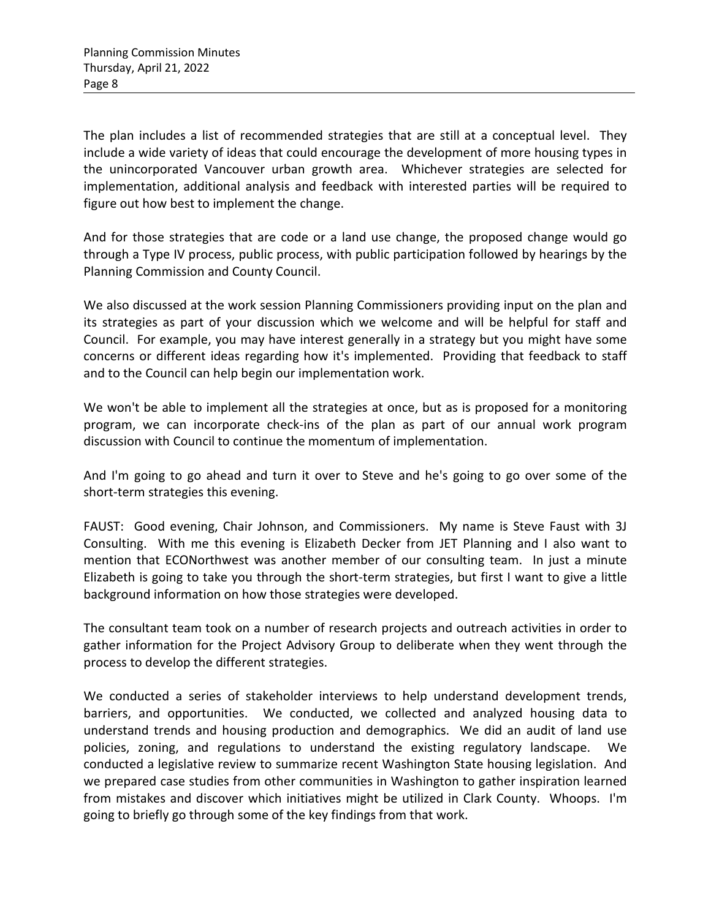The plan includes a list of recommended strategies that are still at a conceptual level. They include a wide variety of ideas that could encourage the development of more housing types in the unincorporated Vancouver urban growth area. Whichever strategies are selected for implementation, additional analysis and feedback with interested parties will be required to figure out how best to implement the change.

And for those strategies that are code or a land use change, the proposed change would go through a Type IV process, public process, with public participation followed by hearings by the Planning Commission and County Council.

We also discussed at the work session Planning Commissioners providing input on the plan and its strategies as part of your discussion which we welcome and will be helpful for staff and Council. For example, you may have interest generally in a strategy but you might have some concerns or different ideas regarding how it's implemented. Providing that feedback to staff and to the Council can help begin our implementation work.

We won't be able to implement all the strategies at once, but as is proposed for a monitoring program, we can incorporate check-ins of the plan as part of our annual work program discussion with Council to continue the momentum of implementation.

And I'm going to go ahead and turn it over to Steve and he's going to go over some of the short-term strategies this evening.

FAUST: Good evening, Chair Johnson, and Commissioners. My name is Steve Faust with 3J Consulting. With me this evening is Elizabeth Decker from JET Planning and I also want to mention that ECONorthwest was another member of our consulting team. In just a minute Elizabeth is going to take you through the short-term strategies, but first I want to give a little background information on how those strategies were developed.

The consultant team took on a number of research projects and outreach activities in order to gather information for the Project Advisory Group to deliberate when they went through the process to develop the different strategies.

We conducted a series of stakeholder interviews to help understand development trends, barriers, and opportunities. We conducted, we collected and analyzed housing data to understand trends and housing production and demographics. We did an audit of land use policies, zoning, and regulations to understand the existing regulatory landscape. We conducted a legislative review to summarize recent Washington State housing legislation. And we prepared case studies from other communities in Washington to gather inspiration learned from mistakes and discover which initiatives might be utilized in Clark County. Whoops. I'm going to briefly go through some of the key findings from that work.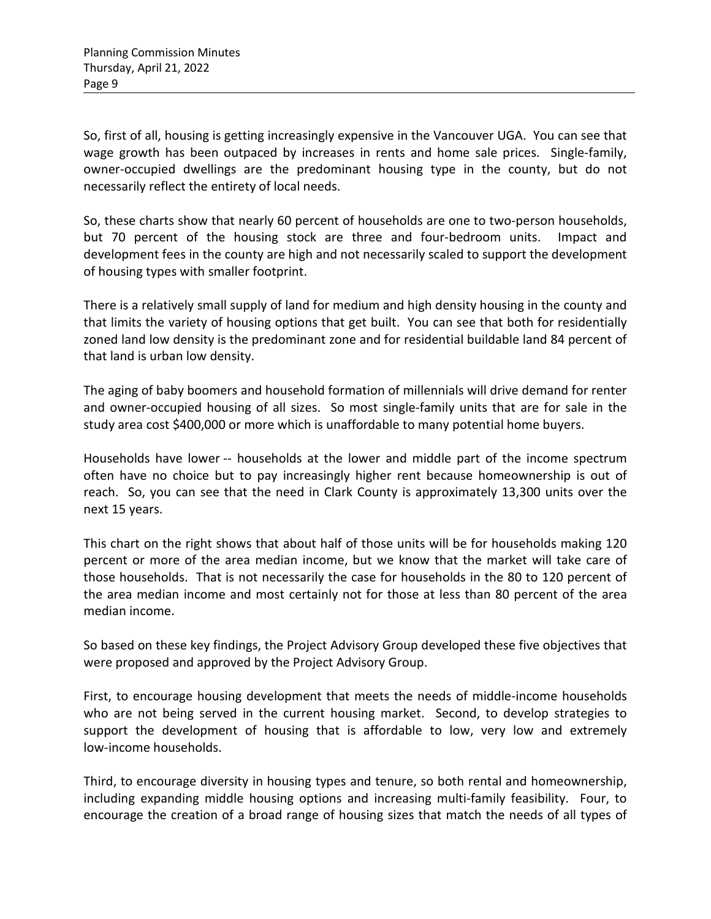So, first of all, housing is getting increasingly expensive in the Vancouver UGA. You can see that wage growth has been outpaced by increases in rents and home sale prices. Single-family, owner-occupied dwellings are the predominant housing type in the county, but do not necessarily reflect the entirety of local needs.

So, these charts show that nearly 60 percent of households are one to two-person households, but 70 percent of the housing stock are three and four-bedroom units. Impact and development fees in the county are high and not necessarily scaled to support the development of housing types with smaller footprint.

There is a relatively small supply of land for medium and high density housing in the county and that limits the variety of housing options that get built. You can see that both for residentially zoned land low density is the predominant zone and for residential buildable land 84 percent of that land is urban low density.

The aging of baby boomers and household formation of millennials will drive demand for renter and owner-occupied housing of all sizes. So most single-family units that are for sale in the study area cost \$400,000 or more which is unaffordable to many potential home buyers.

Households have lower -- households at the lower and middle part of the income spectrum often have no choice but to pay increasingly higher rent because homeownership is out of reach. So, you can see that the need in Clark County is approximately 13,300 units over the next 15 years.

This chart on the right shows that about half of those units will be for households making 120 percent or more of the area median income, but we know that the market will take care of those households. That is not necessarily the case for households in the 80 to 120 percent of the area median income and most certainly not for those at less than 80 percent of the area median income.

So based on these key findings, the Project Advisory Group developed these five objectives that were proposed and approved by the Project Advisory Group.

First, to encourage housing development that meets the needs of middle-income households who are not being served in the current housing market. Second, to develop strategies to support the development of housing that is affordable to low, very low and extremely low-income households.

Third, to encourage diversity in housing types and tenure, so both rental and homeownership, including expanding middle housing options and increasing multi-family feasibility. Four, to encourage the creation of a broad range of housing sizes that match the needs of all types of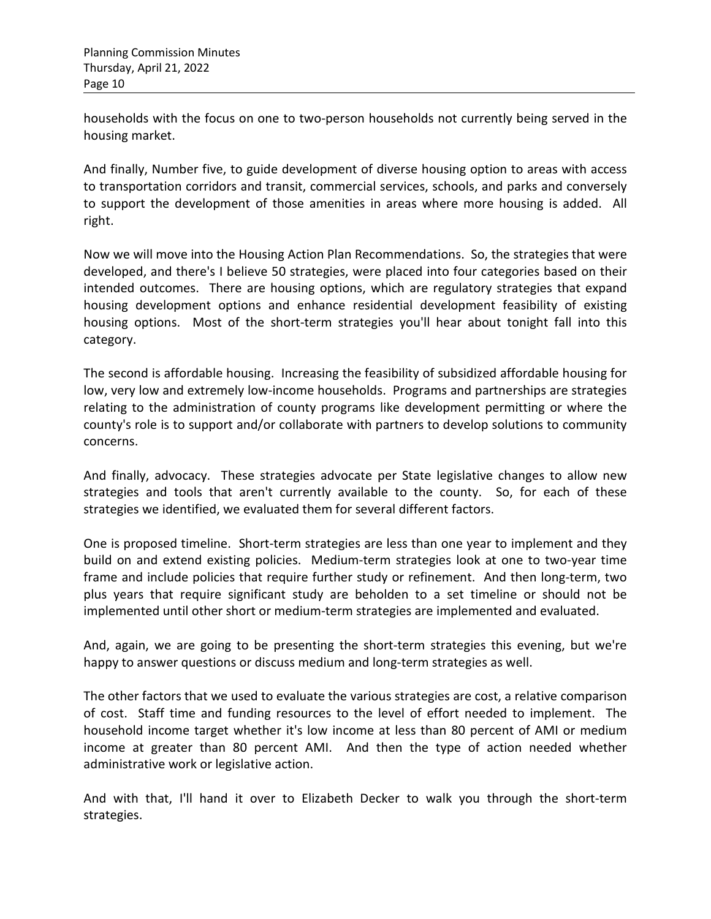households with the focus on one to two-person households not currently being served in the housing market.

And finally, Number five, to guide development of diverse housing option to areas with access to transportation corridors and transit, commercial services, schools, and parks and conversely to support the development of those amenities in areas where more housing is added. All right.

Now we will move into the Housing Action Plan Recommendations. So, the strategies that were developed, and there's I believe 50 strategies, were placed into four categories based on their intended outcomes. There are housing options, which are regulatory strategies that expand housing development options and enhance residential development feasibility of existing housing options. Most of the short-term strategies you'll hear about tonight fall into this category.

The second is affordable housing. Increasing the feasibility of subsidized affordable housing for low, very low and extremely low-income households. Programs and partnerships are strategies relating to the administration of county programs like development permitting or where the county's role is to support and/or collaborate with partners to develop solutions to community concerns.

And finally, advocacy. These strategies advocate per State legislative changes to allow new strategies and tools that aren't currently available to the county. So, for each of these strategies we identified, we evaluated them for several different factors.

One is proposed timeline. Short-term strategies are less than one year to implement and they build on and extend existing policies. Medium-term strategies look at one to two-year time frame and include policies that require further study or refinement. And then long-term, two plus years that require significant study are beholden to a set timeline or should not be implemented until other short or medium-term strategies are implemented and evaluated.

And, again, we are going to be presenting the short-term strategies this evening, but we're happy to answer questions or discuss medium and long-term strategies as well.

The other factors that we used to evaluate the various strategies are cost, a relative comparison of cost. Staff time and funding resources to the level of effort needed to implement. The household income target whether it's low income at less than 80 percent of AMI or medium income at greater than 80 percent AMI. And then the type of action needed whether administrative work or legislative action.

And with that, I'll hand it over to Elizabeth Decker to walk you through the short-term strategies.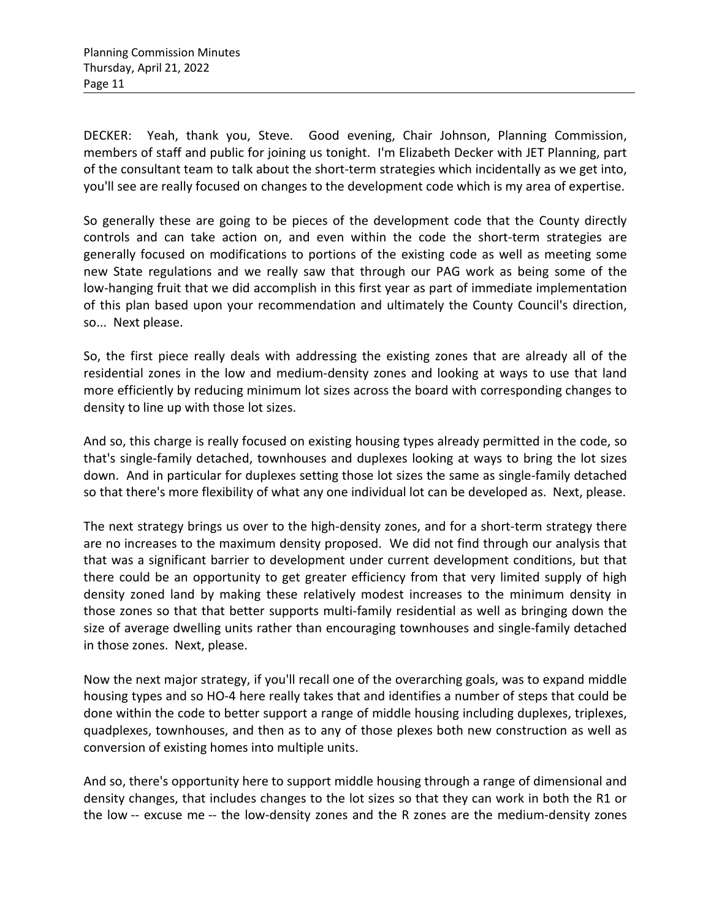DECKER: Yeah, thank you, Steve. Good evening, Chair Johnson, Planning Commission, members of staff and public for joining us tonight. I'm Elizabeth Decker with JET Planning, part of the consultant team to talk about the short-term strategies which incidentally as we get into, you'll see are really focused on changes to the development code which is my area of expertise.

So generally these are going to be pieces of the development code that the County directly controls and can take action on, and even within the code the short-term strategies are generally focused on modifications to portions of the existing code as well as meeting some new State regulations and we really saw that through our PAG work as being some of the low-hanging fruit that we did accomplish in this first year as part of immediate implementation of this plan based upon your recommendation and ultimately the County Council's direction, so... Next please.

So, the first piece really deals with addressing the existing zones that are already all of the residential zones in the low and medium-density zones and looking at ways to use that land more efficiently by reducing minimum lot sizes across the board with corresponding changes to density to line up with those lot sizes.

And so, this charge is really focused on existing housing types already permitted in the code, so that's single-family detached, townhouses and duplexes looking at ways to bring the lot sizes down. And in particular for duplexes setting those lot sizes the same as single-family detached so that there's more flexibility of what any one individual lot can be developed as. Next, please.

The next strategy brings us over to the high-density zones, and for a short-term strategy there are no increases to the maximum density proposed. We did not find through our analysis that that was a significant barrier to development under current development conditions, but that there could be an opportunity to get greater efficiency from that very limited supply of high density zoned land by making these relatively modest increases to the minimum density in those zones so that that better supports multi-family residential as well as bringing down the size of average dwelling units rather than encouraging townhouses and single-family detached in those zones. Next, please.

Now the next major strategy, if you'll recall one of the overarching goals, was to expand middle housing types and so HO-4 here really takes that and identifies a number of steps that could be done within the code to better support a range of middle housing including duplexes, triplexes, quadplexes, townhouses, and then as to any of those plexes both new construction as well as conversion of existing homes into multiple units.

And so, there's opportunity here to support middle housing through a range of dimensional and density changes, that includes changes to the lot sizes so that they can work in both the R1 or the low -- excuse me -- the low-density zones and the R zones are the medium-density zones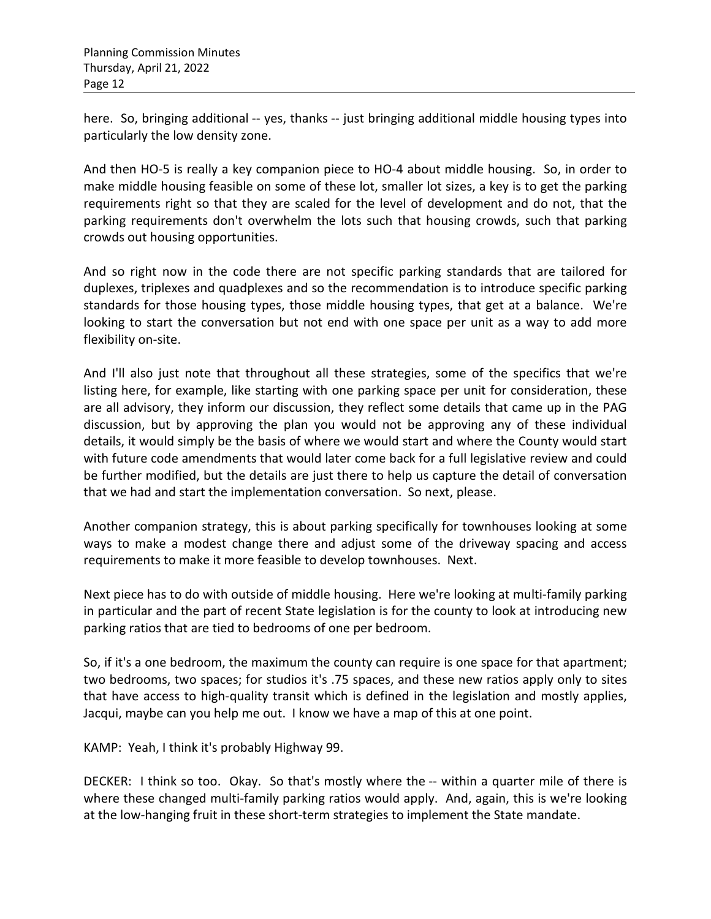here. So, bringing additional -- yes, thanks -- just bringing additional middle housing types into particularly the low density zone.

And then HO-5 is really a key companion piece to HO-4 about middle housing. So, in order to make middle housing feasible on some of these lot, smaller lot sizes, a key is to get the parking requirements right so that they are scaled for the level of development and do not, that the parking requirements don't overwhelm the lots such that housing crowds, such that parking crowds out housing opportunities.

And so right now in the code there are not specific parking standards that are tailored for duplexes, triplexes and quadplexes and so the recommendation is to introduce specific parking standards for those housing types, those middle housing types, that get at a balance. We're looking to start the conversation but not end with one space per unit as a way to add more flexibility on-site.

And I'll also just note that throughout all these strategies, some of the specifics that we're listing here, for example, like starting with one parking space per unit for consideration, these are all advisory, they inform our discussion, they reflect some details that came up in the PAG discussion, but by approving the plan you would not be approving any of these individual details, it would simply be the basis of where we would start and where the County would start with future code amendments that would later come back for a full legislative review and could be further modified, but the details are just there to help us capture the detail of conversation that we had and start the implementation conversation. So next, please.

Another companion strategy, this is about parking specifically for townhouses looking at some ways to make a modest change there and adjust some of the driveway spacing and access requirements to make it more feasible to develop townhouses. Next.

Next piece has to do with outside of middle housing. Here we're looking at multi-family parking in particular and the part of recent State legislation is for the county to look at introducing new parking ratios that are tied to bedrooms of one per bedroom.

So, if it's a one bedroom, the maximum the county can require is one space for that apartment; two bedrooms, two spaces; for studios it's .75 spaces, and these new ratios apply only to sites that have access to high-quality transit which is defined in the legislation and mostly applies, Jacqui, maybe can you help me out. I know we have a map of this at one point.

KAMP: Yeah, I think it's probably Highway 99.

DECKER: I think so too. Okay. So that's mostly where the -- within a quarter mile of there is where these changed multi-family parking ratios would apply. And, again, this is we're looking at the low-hanging fruit in these short-term strategies to implement the State mandate.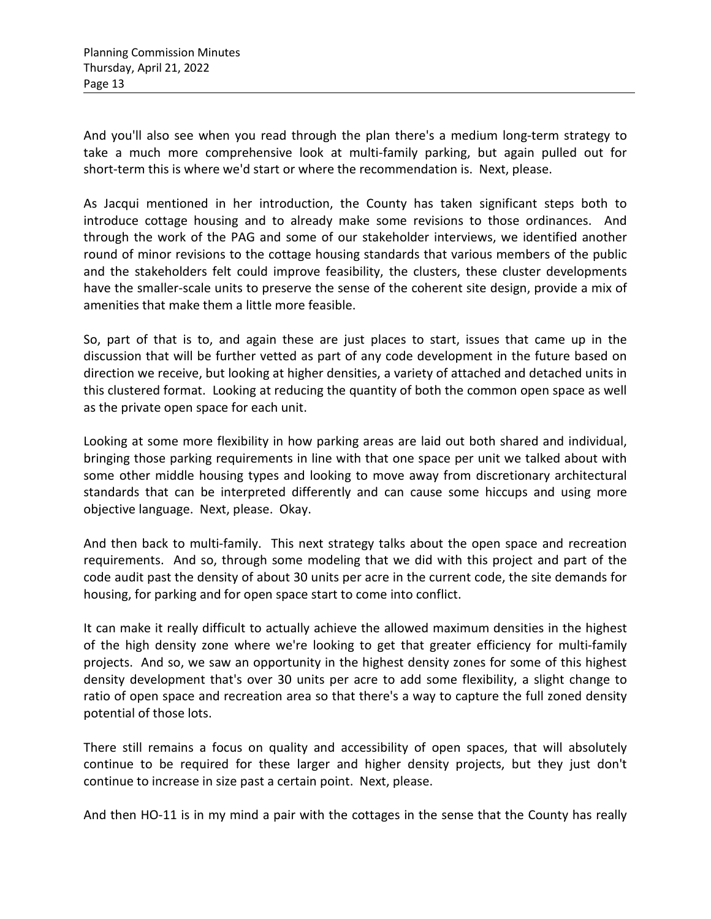And you'll also see when you read through the plan there's a medium long-term strategy to take a much more comprehensive look at multi-family parking, but again pulled out for short-term this is where we'd start or where the recommendation is. Next, please.

As Jacqui mentioned in her introduction, the County has taken significant steps both to introduce cottage housing and to already make some revisions to those ordinances. And through the work of the PAG and some of our stakeholder interviews, we identified another round of minor revisions to the cottage housing standards that various members of the public and the stakeholders felt could improve feasibility, the clusters, these cluster developments have the smaller-scale units to preserve the sense of the coherent site design, provide a mix of amenities that make them a little more feasible.

So, part of that is to, and again these are just places to start, issues that came up in the discussion that will be further vetted as part of any code development in the future based on direction we receive, but looking at higher densities, a variety of attached and detached units in this clustered format. Looking at reducing the quantity of both the common open space as well as the private open space for each unit.

Looking at some more flexibility in how parking areas are laid out both shared and individual, bringing those parking requirements in line with that one space per unit we talked about with some other middle housing types and looking to move away from discretionary architectural standards that can be interpreted differently and can cause some hiccups and using more objective language. Next, please. Okay.

And then back to multi-family. This next strategy talks about the open space and recreation requirements. And so, through some modeling that we did with this project and part of the code audit past the density of about 30 units per acre in the current code, the site demands for housing, for parking and for open space start to come into conflict.

It can make it really difficult to actually achieve the allowed maximum densities in the highest of the high density zone where we're looking to get that greater efficiency for multi-family projects. And so, we saw an opportunity in the highest density zones for some of this highest density development that's over 30 units per acre to add some flexibility, a slight change to ratio of open space and recreation area so that there's a way to capture the full zoned density potential of those lots.

There still remains a focus on quality and accessibility of open spaces, that will absolutely continue to be required for these larger and higher density projects, but they just don't continue to increase in size past a certain point. Next, please.

And then HO-11 is in my mind a pair with the cottages in the sense that the County has really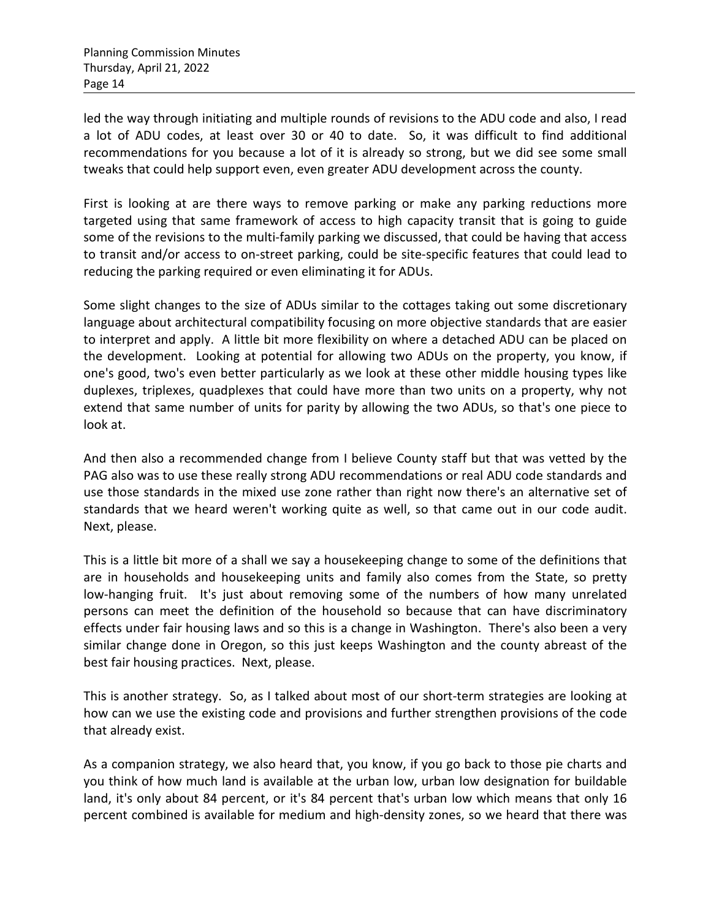led the way through initiating and multiple rounds of revisions to the ADU code and also, I read a lot of ADU codes, at least over 30 or 40 to date. So, it was difficult to find additional recommendations for you because a lot of it is already so strong, but we did see some small tweaks that could help support even, even greater ADU development across the county.

First is looking at are there ways to remove parking or make any parking reductions more targeted using that same framework of access to high capacity transit that is going to guide some of the revisions to the multi-family parking we discussed, that could be having that access to transit and/or access to on-street parking, could be site-specific features that could lead to reducing the parking required or even eliminating it for ADUs.

Some slight changes to the size of ADUs similar to the cottages taking out some discretionary language about architectural compatibility focusing on more objective standards that are easier to interpret and apply. A little bit more flexibility on where a detached ADU can be placed on the development. Looking at potential for allowing two ADUs on the property, you know, if one's good, two's even better particularly as we look at these other middle housing types like duplexes, triplexes, quadplexes that could have more than two units on a property, why not extend that same number of units for parity by allowing the two ADUs, so that's one piece to look at.

And then also a recommended change from I believe County staff but that was vetted by the PAG also was to use these really strong ADU recommendations or real ADU code standards and use those standards in the mixed use zone rather than right now there's an alternative set of standards that we heard weren't working quite as well, so that came out in our code audit. Next, please.

This is a little bit more of a shall we say a housekeeping change to some of the definitions that are in households and housekeeping units and family also comes from the State, so pretty low-hanging fruit. It's just about removing some of the numbers of how many unrelated persons can meet the definition of the household so because that can have discriminatory effects under fair housing laws and so this is a change in Washington. There's also been a very similar change done in Oregon, so this just keeps Washington and the county abreast of the best fair housing practices. Next, please.

This is another strategy. So, as I talked about most of our short-term strategies are looking at how can we use the existing code and provisions and further strengthen provisions of the code that already exist.

As a companion strategy, we also heard that, you know, if you go back to those pie charts and you think of how much land is available at the urban low, urban low designation for buildable land, it's only about 84 percent, or it's 84 percent that's urban low which means that only 16 percent combined is available for medium and high-density zones, so we heard that there was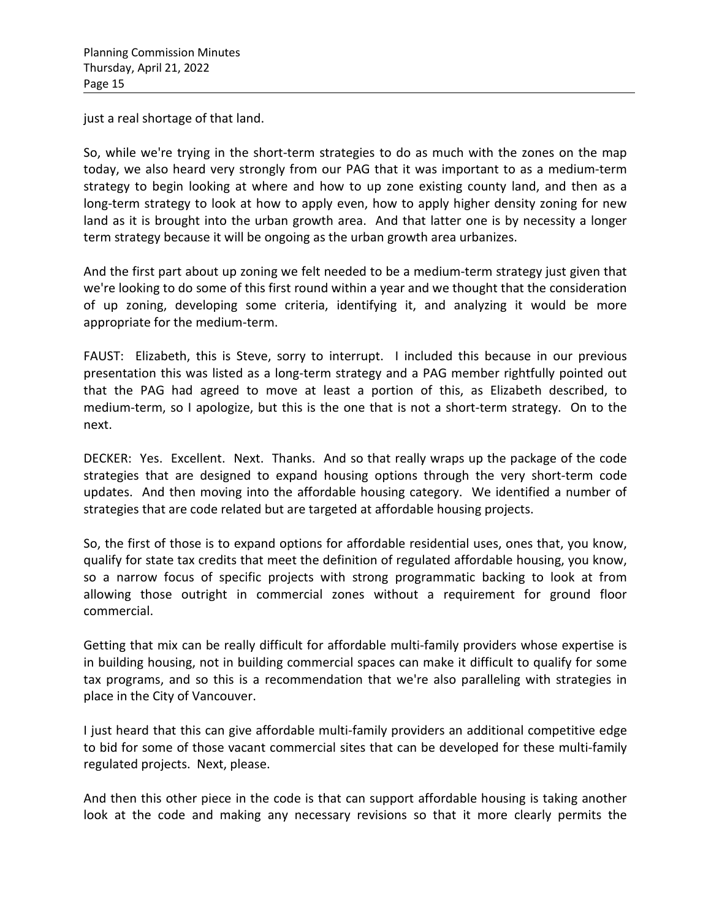just a real shortage of that land.

So, while we're trying in the short-term strategies to do as much with the zones on the map today, we also heard very strongly from our PAG that it was important to as a medium-term strategy to begin looking at where and how to up zone existing county land, and then as a long-term strategy to look at how to apply even, how to apply higher density zoning for new land as it is brought into the urban growth area. And that latter one is by necessity a longer term strategy because it will be ongoing as the urban growth area urbanizes.

And the first part about up zoning we felt needed to be a medium-term strategy just given that we're looking to do some of this first round within a year and we thought that the consideration of up zoning, developing some criteria, identifying it, and analyzing it would be more appropriate for the medium-term.

FAUST: Elizabeth, this is Steve, sorry to interrupt. I included this because in our previous presentation this was listed as a long-term strategy and a PAG member rightfully pointed out that the PAG had agreed to move at least a portion of this, as Elizabeth described, to medium-term, so I apologize, but this is the one that is not a short-term strategy. On to the next.

DECKER: Yes. Excellent. Next. Thanks. And so that really wraps up the package of the code strategies that are designed to expand housing options through the very short-term code updates. And then moving into the affordable housing category. We identified a number of strategies that are code related but are targeted at affordable housing projects.

So, the first of those is to expand options for affordable residential uses, ones that, you know, qualify for state tax credits that meet the definition of regulated affordable housing, you know, so a narrow focus of specific projects with strong programmatic backing to look at from allowing those outright in commercial zones without a requirement for ground floor commercial.

Getting that mix can be really difficult for affordable multi-family providers whose expertise is in building housing, not in building commercial spaces can make it difficult to qualify for some tax programs, and so this is a recommendation that we're also paralleling with strategies in place in the City of Vancouver.

I just heard that this can give affordable multi-family providers an additional competitive edge to bid for some of those vacant commercial sites that can be developed for these multi-family regulated projects. Next, please.

And then this other piece in the code is that can support affordable housing is taking another look at the code and making any necessary revisions so that it more clearly permits the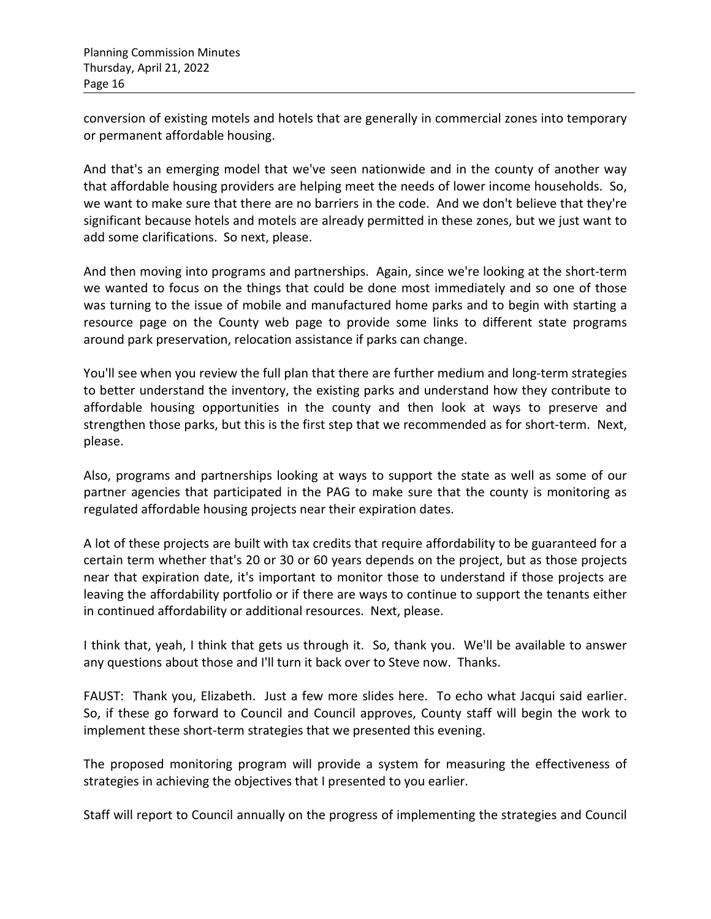conversion of existing motels and hotels that are generally in commercial zones into temporary or permanent affordable housing.

And that's an emerging model that we've seen nationwide and in the county of another way that affordable housing providers are helping meet the needs of lower income households. So, we want to make sure that there are no barriers in the code. And we don't believe that they're significant because hotels and motels are already permitted in these zones, but we just want to add some clarifications. So next, please.

And then moving into programs and partnerships. Again, since we're looking at the short-term we wanted to focus on the things that could be done most immediately and so one of those was turning to the issue of mobile and manufactured home parks and to begin with starting a resource page on the County web page to provide some links to different state programs around park preservation, relocation assistance if parks can change.

You'll see when you review the full plan that there are further medium and long-term strategies to better understand the inventory, the existing parks and understand how they contribute to affordable housing opportunities in the county and then look at ways to preserve and strengthen those parks, but this is the first step that we recommended as for short-term. Next, please.

Also, programs and partnerships looking at ways to support the state as well as some of our partner agencies that participated in the PAG to make sure that the county is monitoring as regulated affordable housing projects near their expiration dates.

A lot of these projects are built with tax credits that require affordability to be guaranteed for a certain term whether that's 20 or 30 or 60 years depends on the project, but as those projects near that expiration date, it's important to monitor those to understand if those projects are leaving the affordability portfolio or if there are ways to continue to support the tenants either in continued affordability or additional resources. Next, please.

I think that, yeah, I think that gets us through it. So, thank you. We'll be available to answer any questions about those and I'll turn it back over to Steve now. Thanks.

FAUST: Thank you, Elizabeth. Just a few more slides here. To echo what Jacqui said earlier. So, if these go forward to Council and Council approves, County staff will begin the work to implement these short-term strategies that we presented this evening.

The proposed monitoring program will provide a system for measuring the effectiveness of strategies in achieving the objectives that I presented to you earlier.

Staff will report to Council annually on the progress of implementing the strategies and Council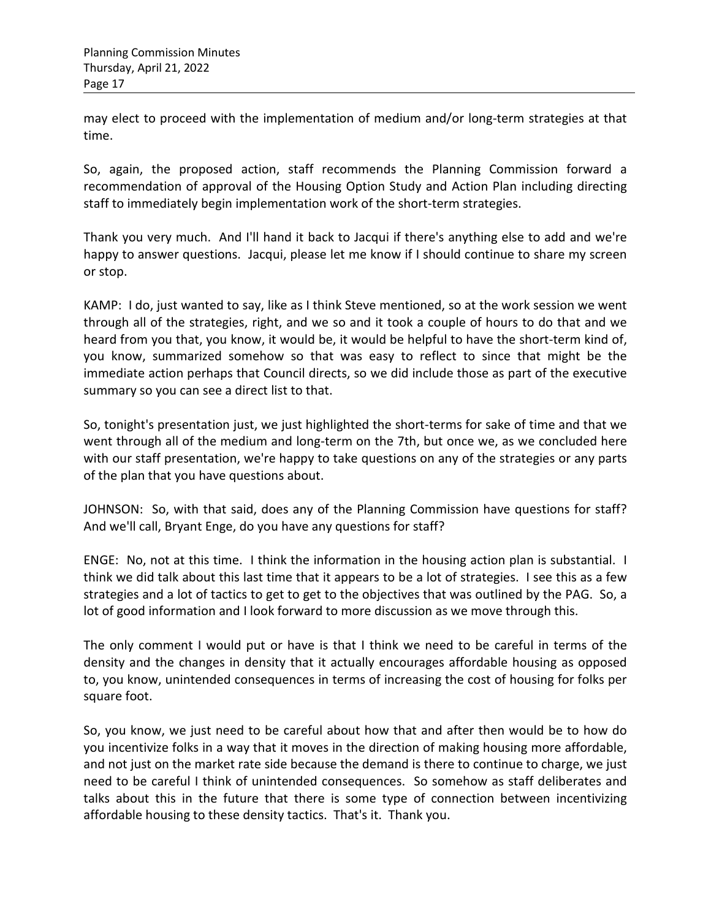may elect to proceed with the implementation of medium and/or long-term strategies at that time.

So, again, the proposed action, staff recommends the Planning Commission forward a recommendation of approval of the Housing Option Study and Action Plan including directing staff to immediately begin implementation work of the short-term strategies.

Thank you very much. And I'll hand it back to Jacqui if there's anything else to add and we're happy to answer questions. Jacqui, please let me know if I should continue to share my screen or stop.

KAMP: I do, just wanted to say, like as I think Steve mentioned, so at the work session we went through all of the strategies, right, and we so and it took a couple of hours to do that and we heard from you that, you know, it would be, it would be helpful to have the short-term kind of, you know, summarized somehow so that was easy to reflect to since that might be the immediate action perhaps that Council directs, so we did include those as part of the executive summary so you can see a direct list to that.

So, tonight's presentation just, we just highlighted the short-terms for sake of time and that we went through all of the medium and long-term on the 7th, but once we, as we concluded here with our staff presentation, we're happy to take questions on any of the strategies or any parts of the plan that you have questions about.

JOHNSON: So, with that said, does any of the Planning Commission have questions for staff? And we'll call, Bryant Enge, do you have any questions for staff?

ENGE: No, not at this time. I think the information in the housing action plan is substantial. I think we did talk about this last time that it appears to be a lot of strategies. I see this as a few strategies and a lot of tactics to get to get to the objectives that was outlined by the PAG. So, a lot of good information and I look forward to more discussion as we move through this.

The only comment I would put or have is that I think we need to be careful in terms of the density and the changes in density that it actually encourages affordable housing as opposed to, you know, unintended consequences in terms of increasing the cost of housing for folks per square foot.

So, you know, we just need to be careful about how that and after then would be to how do you incentivize folks in a way that it moves in the direction of making housing more affordable, and not just on the market rate side because the demand is there to continue to charge, we just need to be careful I think of unintended consequences. So somehow as staff deliberates and talks about this in the future that there is some type of connection between incentivizing affordable housing to these density tactics. That's it. Thank you.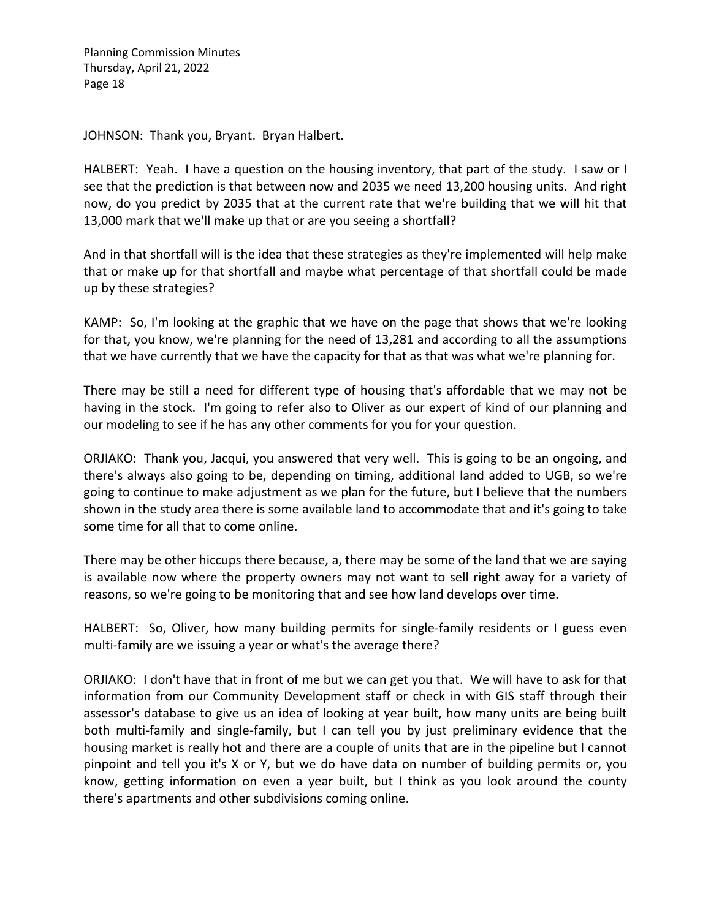JOHNSON: Thank you, Bryant. Bryan Halbert.

HALBERT: Yeah. I have a question on the housing inventory, that part of the study. I saw or I see that the prediction is that between now and 2035 we need 13,200 housing units. And right now, do you predict by 2035 that at the current rate that we're building that we will hit that 13,000 mark that we'll make up that or are you seeing a shortfall?

And in that shortfall will is the idea that these strategies as they're implemented will help make that or make up for that shortfall and maybe what percentage of that shortfall could be made up by these strategies?

KAMP: So, I'm looking at the graphic that we have on the page that shows that we're looking for that, you know, we're planning for the need of 13,281 and according to all the assumptions that we have currently that we have the capacity for that as that was what we're planning for.

There may be still a need for different type of housing that's affordable that we may not be having in the stock. I'm going to refer also to Oliver as our expert of kind of our planning and our modeling to see if he has any other comments for you for your question.

ORJIAKO: Thank you, Jacqui, you answered that very well. This is going to be an ongoing, and there's always also going to be, depending on timing, additional land added to UGB, so we're going to continue to make adjustment as we plan for the future, but I believe that the numbers shown in the study area there is some available land to accommodate that and it's going to take some time for all that to come online.

There may be other hiccups there because, a, there may be some of the land that we are saying is available now where the property owners may not want to sell right away for a variety of reasons, so we're going to be monitoring that and see how land develops over time.

HALBERT: So, Oliver, how many building permits for single-family residents or I guess even multi-family are we issuing a year or what's the average there?

ORJIAKO: I don't have that in front of me but we can get you that. We will have to ask for that information from our Community Development staff or check in with GIS staff through their assessor's database to give us an idea of looking at year built, how many units are being built both multi-family and single-family, but I can tell you by just preliminary evidence that the housing market is really hot and there are a couple of units that are in the pipeline but I cannot pinpoint and tell you it's X or Y, but we do have data on number of building permits or, you know, getting information on even a year built, but I think as you look around the county there's apartments and other subdivisions coming online.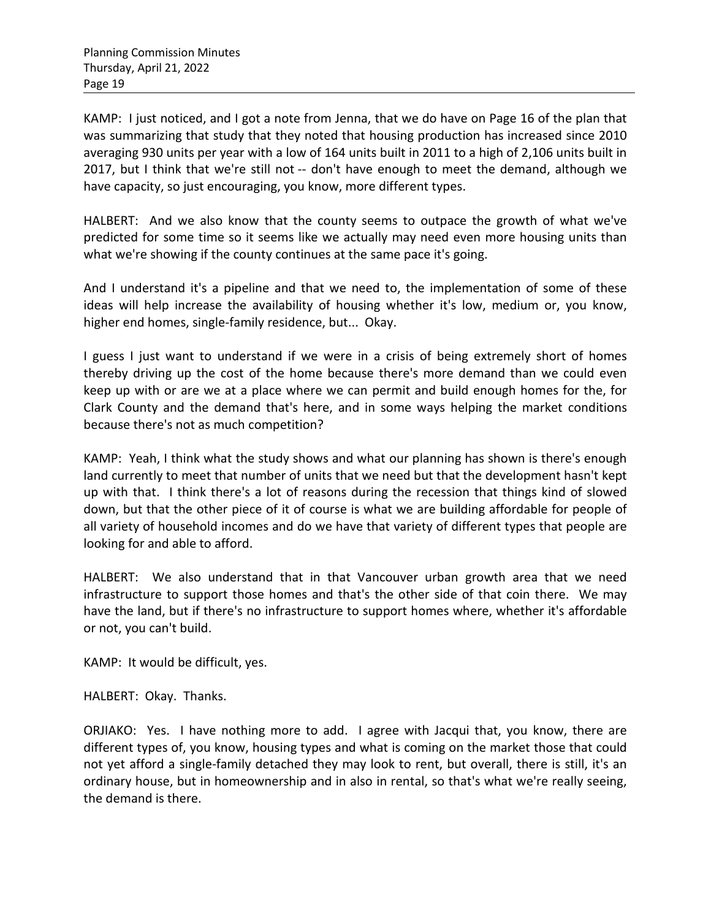KAMP: I just noticed, and I got a note from Jenna, that we do have on Page 16 of the plan that was summarizing that study that they noted that housing production has increased since 2010 averaging 930 units per year with a low of 164 units built in 2011 to a high of 2,106 units built in 2017, but I think that we're still not -- don't have enough to meet the demand, although we have capacity, so just encouraging, you know, more different types.

HALBERT: And we also know that the county seems to outpace the growth of what we've predicted for some time so it seems like we actually may need even more housing units than what we're showing if the county continues at the same pace it's going.

And I understand it's a pipeline and that we need to, the implementation of some of these ideas will help increase the availability of housing whether it's low, medium or, you know, higher end homes, single-family residence, but... Okay.

I guess I just want to understand if we were in a crisis of being extremely short of homes thereby driving up the cost of the home because there's more demand than we could even keep up with or are we at a place where we can permit and build enough homes for the, for Clark County and the demand that's here, and in some ways helping the market conditions because there's not as much competition?

KAMP: Yeah, I think what the study shows and what our planning has shown is there's enough land currently to meet that number of units that we need but that the development hasn't kept up with that. I think there's a lot of reasons during the recession that things kind of slowed down, but that the other piece of it of course is what we are building affordable for people of all variety of household incomes and do we have that variety of different types that people are looking for and able to afford.

HALBERT: We also understand that in that Vancouver urban growth area that we need infrastructure to support those homes and that's the other side of that coin there. We may have the land, but if there's no infrastructure to support homes where, whether it's affordable or not, you can't build.

KAMP: It would be difficult, yes.

HALBERT: Okay. Thanks.

ORJIAKO: Yes. I have nothing more to add. I agree with Jacqui that, you know, there are different types of, you know, housing types and what is coming on the market those that could not yet afford a single-family detached they may look to rent, but overall, there is still, it's an ordinary house, but in homeownership and in also in rental, so that's what we're really seeing, the demand is there.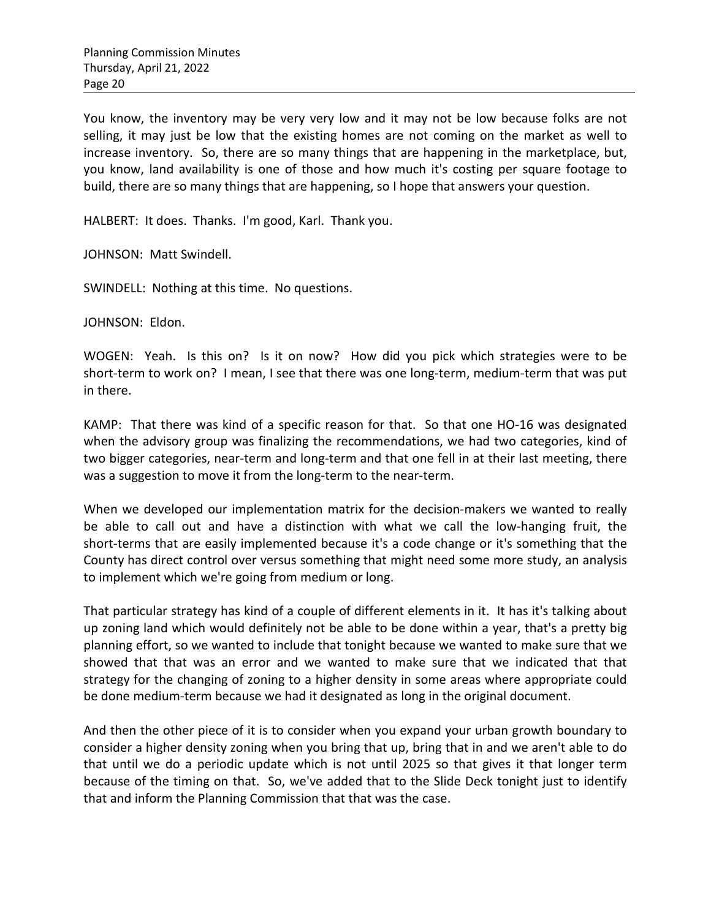You know, the inventory may be very very low and it may not be low because folks are not selling, it may just be low that the existing homes are not coming on the market as well to increase inventory. So, there are so many things that are happening in the marketplace, but, you know, land availability is one of those and how much it's costing per square footage to build, there are so many things that are happening, so I hope that answers your question.

HALBERT: It does. Thanks. I'm good, Karl. Thank you.

JOHNSON: Matt Swindell.

SWINDELL: Nothing at this time. No questions.

JOHNSON: Eldon.

WOGEN: Yeah. Is this on? Is it on now? How did you pick which strategies were to be short-term to work on? I mean, I see that there was one long-term, medium-term that was put in there.

KAMP: That there was kind of a specific reason for that. So that one HO-16 was designated when the advisory group was finalizing the recommendations, we had two categories, kind of two bigger categories, near-term and long-term and that one fell in at their last meeting, there was a suggestion to move it from the long-term to the near-term.

When we developed our implementation matrix for the decision-makers we wanted to really be able to call out and have a distinction with what we call the low-hanging fruit, the short-terms that are easily implemented because it's a code change or it's something that the County has direct control over versus something that might need some more study, an analysis to implement which we're going from medium or long.

That particular strategy has kind of a couple of different elements in it. It has it's talking about up zoning land which would definitely not be able to be done within a year, that's a pretty big planning effort, so we wanted to include that tonight because we wanted to make sure that we showed that that was an error and we wanted to make sure that we indicated that that strategy for the changing of zoning to a higher density in some areas where appropriate could be done medium-term because we had it designated as long in the original document.

And then the other piece of it is to consider when you expand your urban growth boundary to consider a higher density zoning when you bring that up, bring that in and we aren't able to do that until we do a periodic update which is not until 2025 so that gives it that longer term because of the timing on that. So, we've added that to the Slide Deck tonight just to identify that and inform the Planning Commission that that was the case.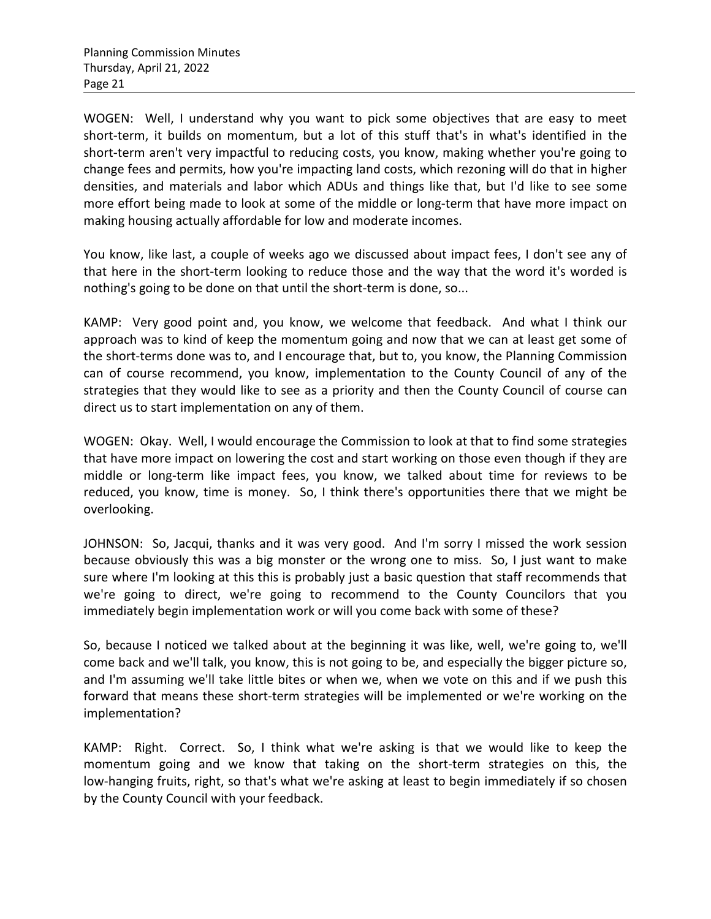WOGEN: Well, I understand why you want to pick some objectives that are easy to meet short-term, it builds on momentum, but a lot of this stuff that's in what's identified in the short-term aren't very impactful to reducing costs, you know, making whether you're going to change fees and permits, how you're impacting land costs, which rezoning will do that in higher densities, and materials and labor which ADUs and things like that, but I'd like to see some more effort being made to look at some of the middle or long-term that have more impact on making housing actually affordable for low and moderate incomes.

You know, like last, a couple of weeks ago we discussed about impact fees, I don't see any of that here in the short-term looking to reduce those and the way that the word it's worded is nothing's going to be done on that until the short-term is done, so...

KAMP: Very good point and, you know, we welcome that feedback. And what I think our approach was to kind of keep the momentum going and now that we can at least get some of the short-terms done was to, and I encourage that, but to, you know, the Planning Commission can of course recommend, you know, implementation to the County Council of any of the strategies that they would like to see as a priority and then the County Council of course can direct us to start implementation on any of them.

WOGEN: Okay. Well, I would encourage the Commission to look at that to find some strategies that have more impact on lowering the cost and start working on those even though if they are middle or long-term like impact fees, you know, we talked about time for reviews to be reduced, you know, time is money. So, I think there's opportunities there that we might be overlooking.

JOHNSON: So, Jacqui, thanks and it was very good. And I'm sorry I missed the work session because obviously this was a big monster or the wrong one to miss. So, I just want to make sure where I'm looking at this this is probably just a basic question that staff recommends that we're going to direct, we're going to recommend to the County Councilors that you immediately begin implementation work or will you come back with some of these?

So, because I noticed we talked about at the beginning it was like, well, we're going to, we'll come back and we'll talk, you know, this is not going to be, and especially the bigger picture so, and I'm assuming we'll take little bites or when we, when we vote on this and if we push this forward that means these short-term strategies will be implemented or we're working on the implementation?

KAMP: Right. Correct. So, I think what we're asking is that we would like to keep the momentum going and we know that taking on the short-term strategies on this, the low-hanging fruits, right, so that's what we're asking at least to begin immediately if so chosen by the County Council with your feedback.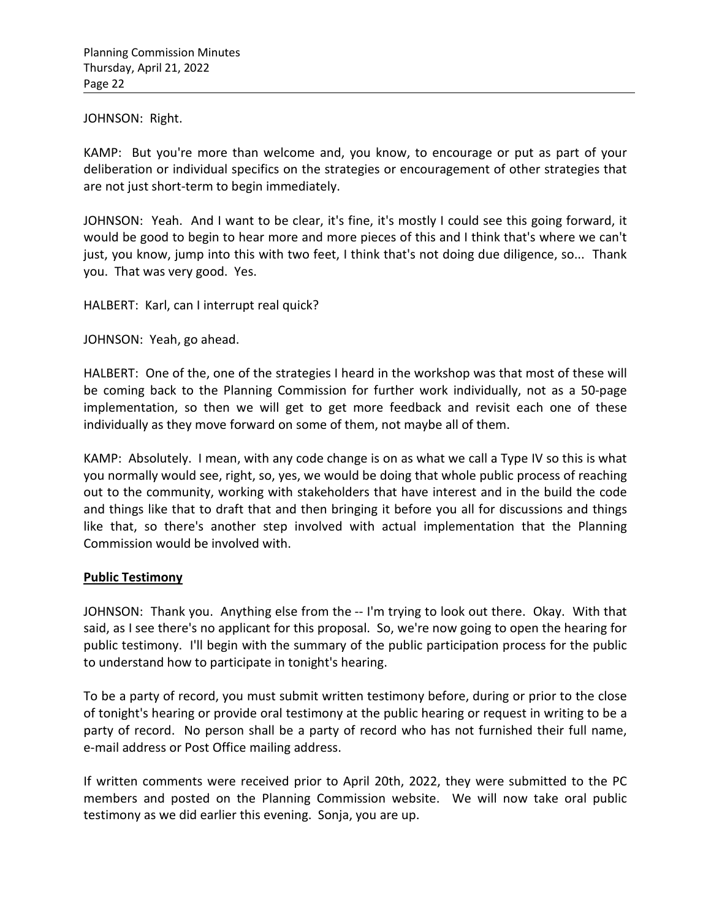JOHNSON: Right.

KAMP: But you're more than welcome and, you know, to encourage or put as part of your deliberation or individual specifics on the strategies or encouragement of other strategies that are not just short-term to begin immediately.

JOHNSON: Yeah. And I want to be clear, it's fine, it's mostly I could see this going forward, it would be good to begin to hear more and more pieces of this and I think that's where we can't just, you know, jump into this with two feet, I think that's not doing due diligence, so... Thank you. That was very good. Yes.

HALBERT: Karl, can I interrupt real quick?

JOHNSON: Yeah, go ahead.

HALBERT: One of the, one of the strategies I heard in the workshop was that most of these will be coming back to the Planning Commission for further work individually, not as a 50-page implementation, so then we will get to get more feedback and revisit each one of these individually as they move forward on some of them, not maybe all of them.

KAMP: Absolutely. I mean, with any code change is on as what we call a Type IV so this is what you normally would see, right, so, yes, we would be doing that whole public process of reaching out to the community, working with stakeholders that have interest and in the build the code and things like that to draft that and then bringing it before you all for discussions and things like that, so there's another step involved with actual implementation that the Planning Commission would be involved with.

## **Public Testimony**

JOHNSON: Thank you. Anything else from the -- I'm trying to look out there. Okay. With that said, as I see there's no applicant for this proposal. So, we're now going to open the hearing for public testimony. I'll begin with the summary of the public participation process for the public to understand how to participate in tonight's hearing.

To be a party of record, you must submit written testimony before, during or prior to the close of tonight's hearing or provide oral testimony at the public hearing or request in writing to be a party of record. No person shall be a party of record who has not furnished their full name, e-mail address or Post Office mailing address.

If written comments were received prior to April 20th, 2022, they were submitted to the PC members and posted on the Planning Commission website. We will now take oral public testimony as we did earlier this evening. Sonja, you are up.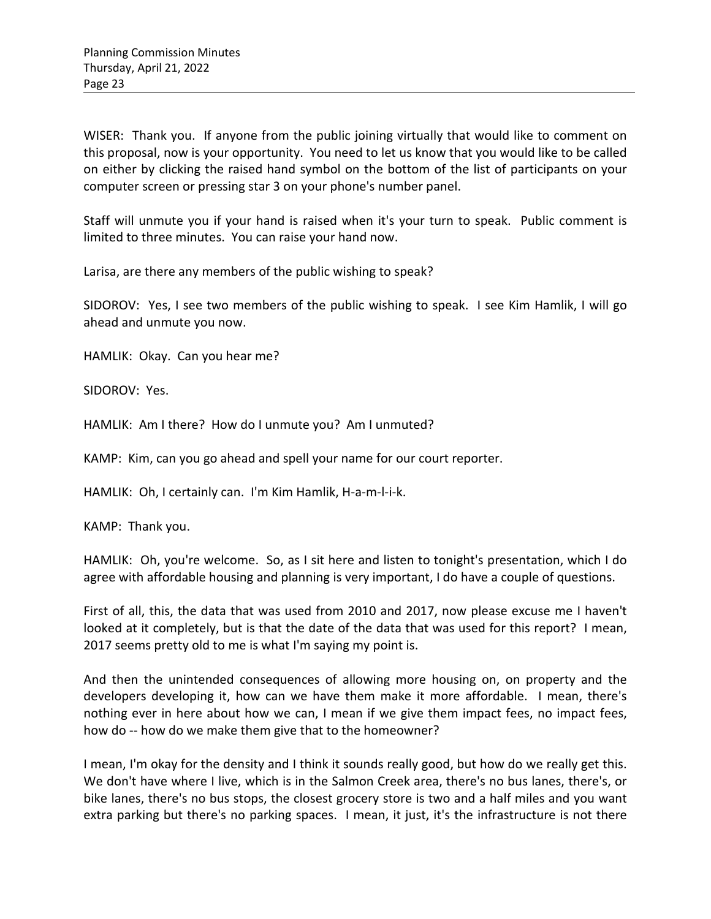WISER: Thank you. If anyone from the public joining virtually that would like to comment on this proposal, now is your opportunity. You need to let us know that you would like to be called on either by clicking the raised hand symbol on the bottom of the list of participants on your computer screen or pressing star 3 on your phone's number panel.

Staff will unmute you if your hand is raised when it's your turn to speak. Public comment is limited to three minutes. You can raise your hand now.

Larisa, are there any members of the public wishing to speak?

SIDOROV: Yes, I see two members of the public wishing to speak. I see Kim Hamlik, I will go ahead and unmute you now.

HAMLIK: Okay. Can you hear me?

SIDOROV: Yes.

HAMLIK: Am I there? How do I unmute you? Am I unmuted?

KAMP: Kim, can you go ahead and spell your name for our court reporter.

HAMLIK: Oh, I certainly can. I'm Kim Hamlik, H-a-m-l-i-k.

KAMP: Thank you.

HAMLIK: Oh, you're welcome. So, as I sit here and listen to tonight's presentation, which I do agree with affordable housing and planning is very important, I do have a couple of questions.

First of all, this, the data that was used from 2010 and 2017, now please excuse me I haven't looked at it completely, but is that the date of the data that was used for this report? I mean, 2017 seems pretty old to me is what I'm saying my point is.

And then the unintended consequences of allowing more housing on, on property and the developers developing it, how can we have them make it more affordable. I mean, there's nothing ever in here about how we can, I mean if we give them impact fees, no impact fees, how do -- how do we make them give that to the homeowner?

I mean, I'm okay for the density and I think it sounds really good, but how do we really get this. We don't have where I live, which is in the Salmon Creek area, there's no bus lanes, there's, or bike lanes, there's no bus stops, the closest grocery store is two and a half miles and you want extra parking but there's no parking spaces. I mean, it just, it's the infrastructure is not there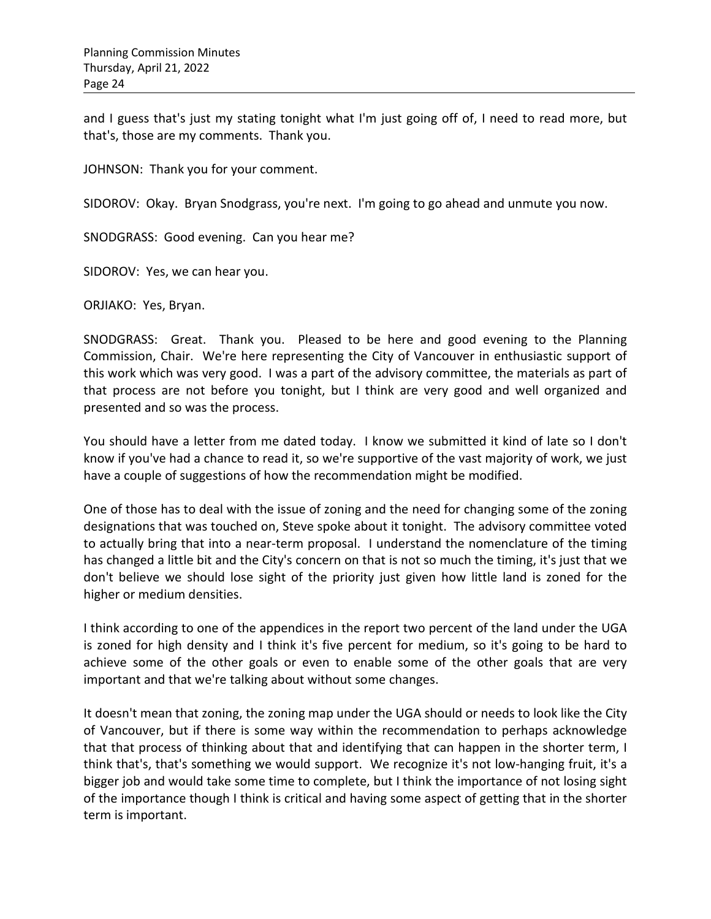and I guess that's just my stating tonight what I'm just going off of, I need to read more, but that's, those are my comments. Thank you.

JOHNSON: Thank you for your comment.

SIDOROV: Okay. Bryan Snodgrass, you're next. I'm going to go ahead and unmute you now.

SNODGRASS: Good evening. Can you hear me?

SIDOROV: Yes, we can hear you.

ORJIAKO: Yes, Bryan.

SNODGRASS: Great. Thank you. Pleased to be here and good evening to the Planning Commission, Chair. We're here representing the City of Vancouver in enthusiastic support of this work which was very good. I was a part of the advisory committee, the materials as part of that process are not before you tonight, but I think are very good and well organized and presented and so was the process.

You should have a letter from me dated today. I know we submitted it kind of late so I don't know if you've had a chance to read it, so we're supportive of the vast majority of work, we just have a couple of suggestions of how the recommendation might be modified.

One of those has to deal with the issue of zoning and the need for changing some of the zoning designations that was touched on, Steve spoke about it tonight. The advisory committee voted to actually bring that into a near-term proposal. I understand the nomenclature of the timing has changed a little bit and the City's concern on that is not so much the timing, it's just that we don't believe we should lose sight of the priority just given how little land is zoned for the higher or medium densities.

I think according to one of the appendices in the report two percent of the land under the UGA is zoned for high density and I think it's five percent for medium, so it's going to be hard to achieve some of the other goals or even to enable some of the other goals that are very important and that we're talking about without some changes.

It doesn't mean that zoning, the zoning map under the UGA should or needs to look like the City of Vancouver, but if there is some way within the recommendation to perhaps acknowledge that that process of thinking about that and identifying that can happen in the shorter term, I think that's, that's something we would support. We recognize it's not low-hanging fruit, it's a bigger job and would take some time to complete, but I think the importance of not losing sight of the importance though I think is critical and having some aspect of getting that in the shorter term is important.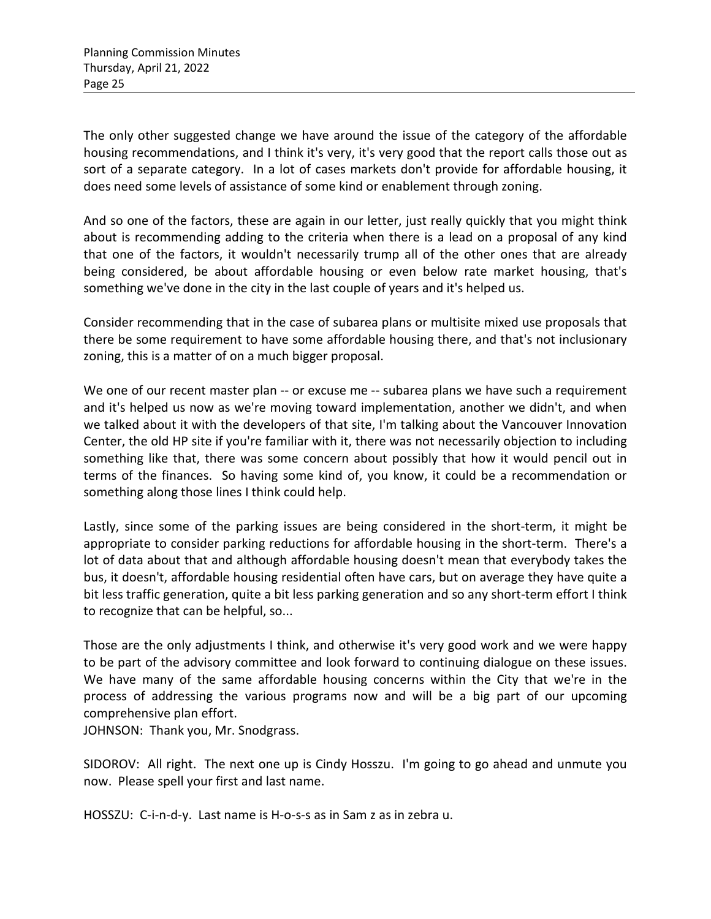The only other suggested change we have around the issue of the category of the affordable housing recommendations, and I think it's very, it's very good that the report calls those out as sort of a separate category. In a lot of cases markets don't provide for affordable housing, it does need some levels of assistance of some kind or enablement through zoning.

And so one of the factors, these are again in our letter, just really quickly that you might think about is recommending adding to the criteria when there is a lead on a proposal of any kind that one of the factors, it wouldn't necessarily trump all of the other ones that are already being considered, be about affordable housing or even below rate market housing, that's something we've done in the city in the last couple of years and it's helped us.

Consider recommending that in the case of subarea plans or multisite mixed use proposals that there be some requirement to have some affordable housing there, and that's not inclusionary zoning, this is a matter of on a much bigger proposal.

We one of our recent master plan -- or excuse me -- subarea plans we have such a requirement and it's helped us now as we're moving toward implementation, another we didn't, and when we talked about it with the developers of that site, I'm talking about the Vancouver Innovation Center, the old HP site if you're familiar with it, there was not necessarily objection to including something like that, there was some concern about possibly that how it would pencil out in terms of the finances. So having some kind of, you know, it could be a recommendation or something along those lines I think could help.

Lastly, since some of the parking issues are being considered in the short-term, it might be appropriate to consider parking reductions for affordable housing in the short-term. There's a lot of data about that and although affordable housing doesn't mean that everybody takes the bus, it doesn't, affordable housing residential often have cars, but on average they have quite a bit less traffic generation, quite a bit less parking generation and so any short-term effort I think to recognize that can be helpful, so...

Those are the only adjustments I think, and otherwise it's very good work and we were happy to be part of the advisory committee and look forward to continuing dialogue on these issues. We have many of the same affordable housing concerns within the City that we're in the process of addressing the various programs now and will be a big part of our upcoming comprehensive plan effort.

JOHNSON: Thank you, Mr. Snodgrass.

SIDOROV: All right. The next one up is Cindy Hosszu. I'm going to go ahead and unmute you now. Please spell your first and last name.

HOSSZU: C-i-n-d-y. Last name is H-o-s-s as in Sam z as in zebra u.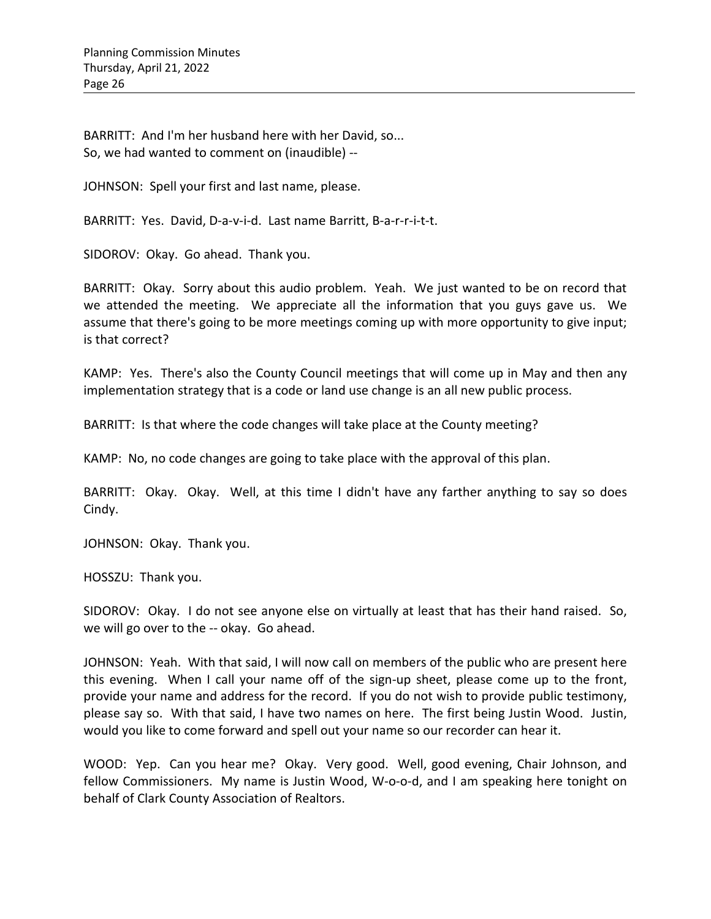BARRITT: And I'm her husband here with her David, so... So, we had wanted to comment on (inaudible) --

JOHNSON: Spell your first and last name, please.

BARRITT: Yes. David, D-a-v-i-d. Last name Barritt, B-a-r-r-i-t-t.

SIDOROV: Okay. Go ahead. Thank you.

BARRITT: Okay. Sorry about this audio problem. Yeah. We just wanted to be on record that we attended the meeting. We appreciate all the information that you guys gave us. We assume that there's going to be more meetings coming up with more opportunity to give input; is that correct?

KAMP: Yes. There's also the County Council meetings that will come up in May and then any implementation strategy that is a code or land use change is an all new public process.

BARRITT: Is that where the code changes will take place at the County meeting?

KAMP: No, no code changes are going to take place with the approval of this plan.

BARRITT: Okay. Okay. Well, at this time I didn't have any farther anything to say so does Cindy.

JOHNSON: Okay. Thank you.

HOSSZU: Thank you.

SIDOROV: Okay. I do not see anyone else on virtually at least that has their hand raised. So, we will go over to the -- okay. Go ahead.

JOHNSON: Yeah. With that said, I will now call on members of the public who are present here this evening. When I call your name off of the sign-up sheet, please come up to the front, provide your name and address for the record. If you do not wish to provide public testimony, please say so. With that said, I have two names on here. The first being Justin Wood. Justin, would you like to come forward and spell out your name so our recorder can hear it.

WOOD: Yep. Can you hear me? Okay. Very good. Well, good evening, Chair Johnson, and fellow Commissioners. My name is Justin Wood, W-o-o-d, and I am speaking here tonight on behalf of Clark County Association of Realtors.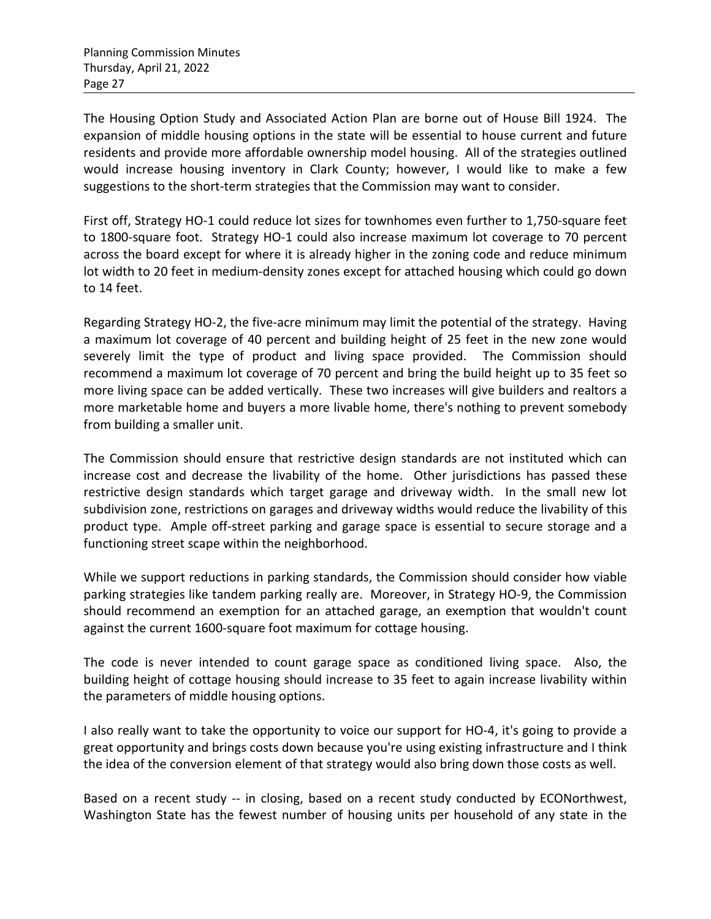The Housing Option Study and Associated Action Plan are borne out of House Bill 1924. The expansion of middle housing options in the state will be essential to house current and future residents and provide more affordable ownership model housing. All of the strategies outlined would increase housing inventory in Clark County; however, I would like to make a few suggestions to the short-term strategies that the Commission may want to consider.

First off, Strategy HO-1 could reduce lot sizes for townhomes even further to 1,750-square feet to 1800-square foot. Strategy HO-1 could also increase maximum lot coverage to 70 percent across the board except for where it is already higher in the zoning code and reduce minimum lot width to 20 feet in medium-density zones except for attached housing which could go down to 14 feet.

Regarding Strategy HO-2, the five-acre minimum may limit the potential of the strategy. Having a maximum lot coverage of 40 percent and building height of 25 feet in the new zone would severely limit the type of product and living space provided. The Commission should recommend a maximum lot coverage of 70 percent and bring the build height up to 35 feet so more living space can be added vertically. These two increases will give builders and realtors a more marketable home and buyers a more livable home, there's nothing to prevent somebody from building a smaller unit.

The Commission should ensure that restrictive design standards are not instituted which can increase cost and decrease the livability of the home. Other jurisdictions has passed these restrictive design standards which target garage and driveway width. In the small new lot subdivision zone, restrictions on garages and driveway widths would reduce the livability of this product type. Ample off-street parking and garage space is essential to secure storage and a functioning street scape within the neighborhood.

While we support reductions in parking standards, the Commission should consider how viable parking strategies like tandem parking really are. Moreover, in Strategy HO-9, the Commission should recommend an exemption for an attached garage, an exemption that wouldn't count against the current 1600-square foot maximum for cottage housing.

The code is never intended to count garage space as conditioned living space. Also, the building height of cottage housing should increase to 35 feet to again increase livability within the parameters of middle housing options.

I also really want to take the opportunity to voice our support for HO-4, it's going to provide a great opportunity and brings costs down because you're using existing infrastructure and I think the idea of the conversion element of that strategy would also bring down those costs as well.

Based on a recent study -- in closing, based on a recent study conducted by ECONorthwest, Washington State has the fewest number of housing units per household of any state in the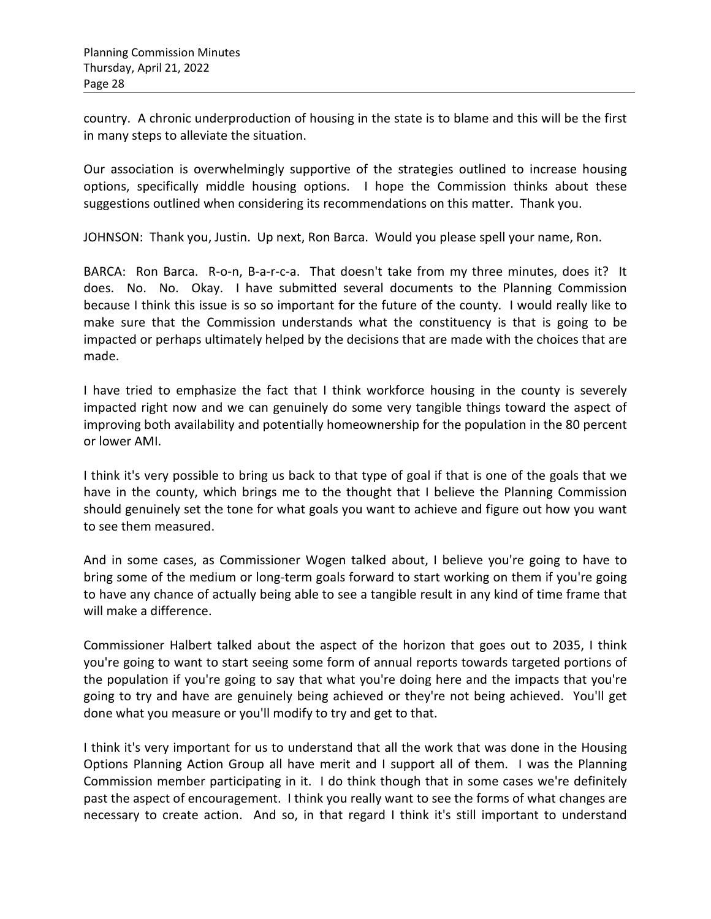country. A chronic underproduction of housing in the state is to blame and this will be the first in many steps to alleviate the situation.

Our association is overwhelmingly supportive of the strategies outlined to increase housing options, specifically middle housing options. I hope the Commission thinks about these suggestions outlined when considering its recommendations on this matter. Thank you.

JOHNSON: Thank you, Justin. Up next, Ron Barca. Would you please spell your name, Ron.

BARCA: Ron Barca. R-o-n, B-a-r-c-a. That doesn't take from my three minutes, does it? It does. No. No. Okay. I have submitted several documents to the Planning Commission because I think this issue is so so important for the future of the county. I would really like to make sure that the Commission understands what the constituency is that is going to be impacted or perhaps ultimately helped by the decisions that are made with the choices that are made.

I have tried to emphasize the fact that I think workforce housing in the county is severely impacted right now and we can genuinely do some very tangible things toward the aspect of improving both availability and potentially homeownership for the population in the 80 percent or lower AMI.

I think it's very possible to bring us back to that type of goal if that is one of the goals that we have in the county, which brings me to the thought that I believe the Planning Commission should genuinely set the tone for what goals you want to achieve and figure out how you want to see them measured.

And in some cases, as Commissioner Wogen talked about, I believe you're going to have to bring some of the medium or long-term goals forward to start working on them if you're going to have any chance of actually being able to see a tangible result in any kind of time frame that will make a difference.

Commissioner Halbert talked about the aspect of the horizon that goes out to 2035, I think you're going to want to start seeing some form of annual reports towards targeted portions of the population if you're going to say that what you're doing here and the impacts that you're going to try and have are genuinely being achieved or they're not being achieved. You'll get done what you measure or you'll modify to try and get to that.

I think it's very important for us to understand that all the work that was done in the Housing Options Planning Action Group all have merit and I support all of them. I was the Planning Commission member participating in it. I do think though that in some cases we're definitely past the aspect of encouragement. I think you really want to see the forms of what changes are necessary to create action. And so, in that regard I think it's still important to understand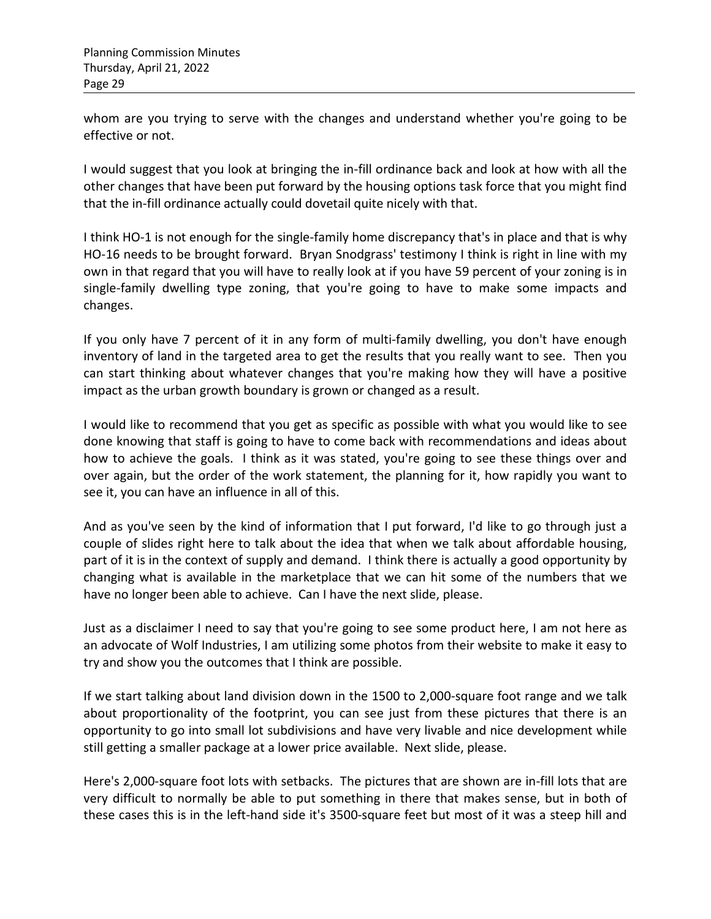whom are you trying to serve with the changes and understand whether you're going to be effective or not.

I would suggest that you look at bringing the in-fill ordinance back and look at how with all the other changes that have been put forward by the housing options task force that you might find that the in-fill ordinance actually could dovetail quite nicely with that.

I think HO-1 is not enough for the single-family home discrepancy that's in place and that is why HO-16 needs to be brought forward. Bryan Snodgrass' testimony I think is right in line with my own in that regard that you will have to really look at if you have 59 percent of your zoning is in single-family dwelling type zoning, that you're going to have to make some impacts and changes.

If you only have 7 percent of it in any form of multi-family dwelling, you don't have enough inventory of land in the targeted area to get the results that you really want to see. Then you can start thinking about whatever changes that you're making how they will have a positive impact as the urban growth boundary is grown or changed as a result.

I would like to recommend that you get as specific as possible with what you would like to see done knowing that staff is going to have to come back with recommendations and ideas about how to achieve the goals. I think as it was stated, you're going to see these things over and over again, but the order of the work statement, the planning for it, how rapidly you want to see it, you can have an influence in all of this.

And as you've seen by the kind of information that I put forward, I'd like to go through just a couple of slides right here to talk about the idea that when we talk about affordable housing, part of it is in the context of supply and demand. I think there is actually a good opportunity by changing what is available in the marketplace that we can hit some of the numbers that we have no longer been able to achieve. Can I have the next slide, please.

Just as a disclaimer I need to say that you're going to see some product here, I am not here as an advocate of Wolf Industries, I am utilizing some photos from their website to make it easy to try and show you the outcomes that I think are possible.

If we start talking about land division down in the 1500 to 2,000-square foot range and we talk about proportionality of the footprint, you can see just from these pictures that there is an opportunity to go into small lot subdivisions and have very livable and nice development while still getting a smaller package at a lower price available. Next slide, please.

Here's 2,000-square foot lots with setbacks. The pictures that are shown are in-fill lots that are very difficult to normally be able to put something in there that makes sense, but in both of these cases this is in the left-hand side it's 3500-square feet but most of it was a steep hill and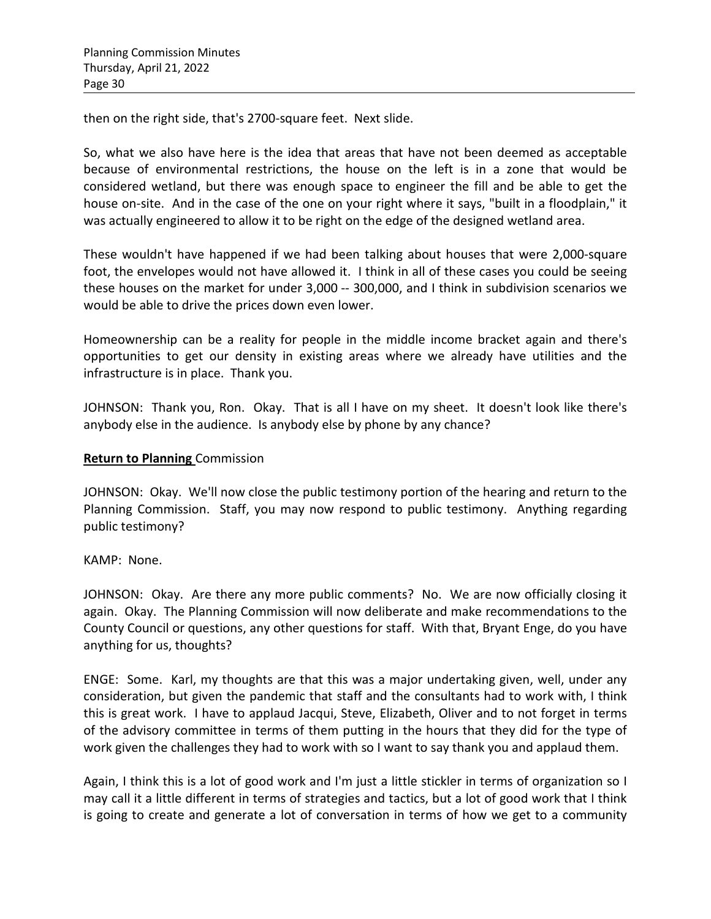then on the right side, that's 2700-square feet. Next slide.

So, what we also have here is the idea that areas that have not been deemed as acceptable because of environmental restrictions, the house on the left is in a zone that would be considered wetland, but there was enough space to engineer the fill and be able to get the house on-site. And in the case of the one on your right where it says, "built in a floodplain," it was actually engineered to allow it to be right on the edge of the designed wetland area.

These wouldn't have happened if we had been talking about houses that were 2,000-square foot, the envelopes would not have allowed it. I think in all of these cases you could be seeing these houses on the market for under 3,000 -- 300,000, and I think in subdivision scenarios we would be able to drive the prices down even lower.

Homeownership can be a reality for people in the middle income bracket again and there's opportunities to get our density in existing areas where we already have utilities and the infrastructure is in place. Thank you.

JOHNSON: Thank you, Ron. Okay. That is all I have on my sheet. It doesn't look like there's anybody else in the audience. Is anybody else by phone by any chance?

## **Return to Planning** Commission

JOHNSON: Okay. We'll now close the public testimony portion of the hearing and return to the Planning Commission. Staff, you may now respond to public testimony. Anything regarding public testimony?

## KAMP: None.

JOHNSON: Okay. Are there any more public comments? No. We are now officially closing it again. Okay. The Planning Commission will now deliberate and make recommendations to the County Council or questions, any other questions for staff. With that, Bryant Enge, do you have anything for us, thoughts?

ENGE: Some. Karl, my thoughts are that this was a major undertaking given, well, under any consideration, but given the pandemic that staff and the consultants had to work with, I think this is great work. I have to applaud Jacqui, Steve, Elizabeth, Oliver and to not forget in terms of the advisory committee in terms of them putting in the hours that they did for the type of work given the challenges they had to work with so I want to say thank you and applaud them.

Again, I think this is a lot of good work and I'm just a little stickler in terms of organization so I may call it a little different in terms of strategies and tactics, but a lot of good work that I think is going to create and generate a lot of conversation in terms of how we get to a community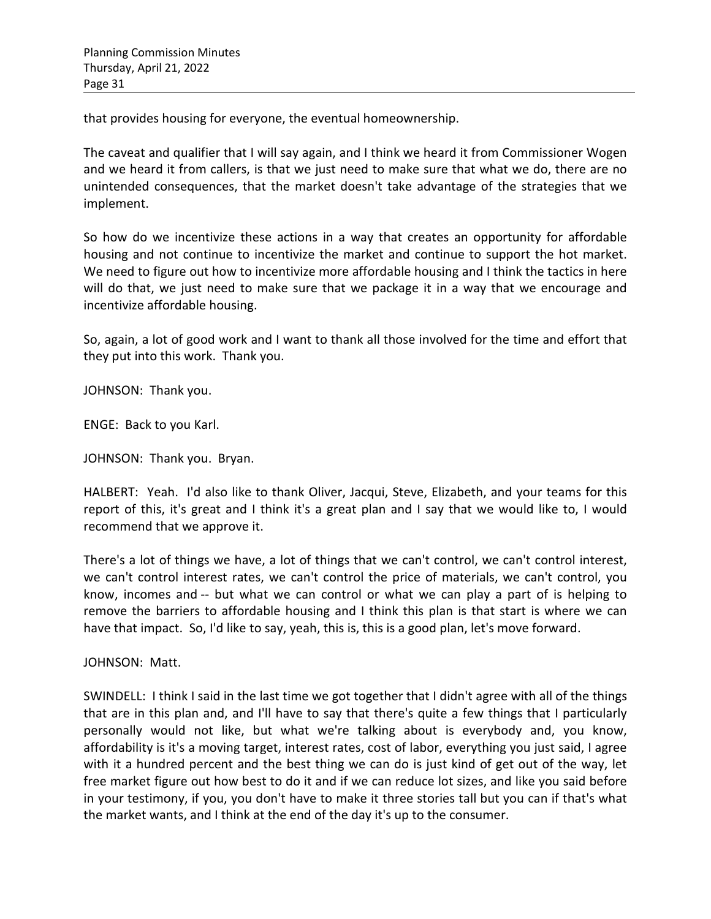that provides housing for everyone, the eventual homeownership.

The caveat and qualifier that I will say again, and I think we heard it from Commissioner Wogen and we heard it from callers, is that we just need to make sure that what we do, there are no unintended consequences, that the market doesn't take advantage of the strategies that we implement.

So how do we incentivize these actions in a way that creates an opportunity for affordable housing and not continue to incentivize the market and continue to support the hot market. We need to figure out how to incentivize more affordable housing and I think the tactics in here will do that, we just need to make sure that we package it in a way that we encourage and incentivize affordable housing.

So, again, a lot of good work and I want to thank all those involved for the time and effort that they put into this work. Thank you.

JOHNSON: Thank you.

ENGE: Back to you Karl.

JOHNSON: Thank you. Bryan.

HALBERT: Yeah. I'd also like to thank Oliver, Jacqui, Steve, Elizabeth, and your teams for this report of this, it's great and I think it's a great plan and I say that we would like to, I would recommend that we approve it.

There's a lot of things we have, a lot of things that we can't control, we can't control interest, we can't control interest rates, we can't control the price of materials, we can't control, you know, incomes and -- but what we can control or what we can play a part of is helping to remove the barriers to affordable housing and I think this plan is that start is where we can have that impact. So, I'd like to say, yeah, this is, this is a good plan, let's move forward.

JOHNSON: Matt.

SWINDELL: I think I said in the last time we got together that I didn't agree with all of the things that are in this plan and, and I'll have to say that there's quite a few things that I particularly personally would not like, but what we're talking about is everybody and, you know, affordability is it's a moving target, interest rates, cost of labor, everything you just said, I agree with it a hundred percent and the best thing we can do is just kind of get out of the way, let free market figure out how best to do it and if we can reduce lot sizes, and like you said before in your testimony, if you, you don't have to make it three stories tall but you can if that's what the market wants, and I think at the end of the day it's up to the consumer.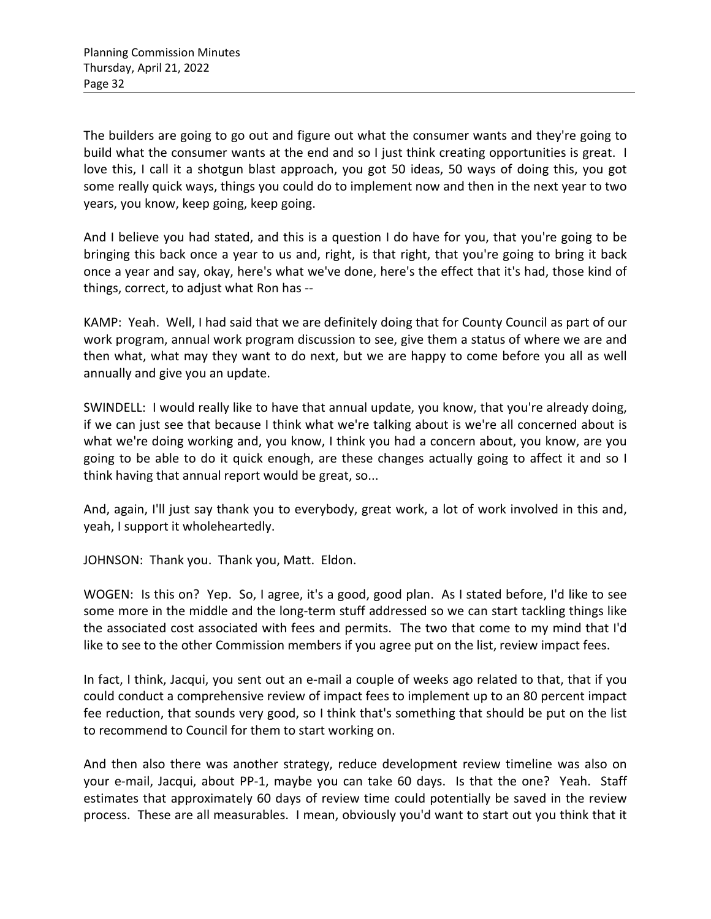The builders are going to go out and figure out what the consumer wants and they're going to build what the consumer wants at the end and so I just think creating opportunities is great. I love this, I call it a shotgun blast approach, you got 50 ideas, 50 ways of doing this, you got some really quick ways, things you could do to implement now and then in the next year to two years, you know, keep going, keep going.

And I believe you had stated, and this is a question I do have for you, that you're going to be bringing this back once a year to us and, right, is that right, that you're going to bring it back once a year and say, okay, here's what we've done, here's the effect that it's had, those kind of things, correct, to adjust what Ron has --

KAMP: Yeah. Well, I had said that we are definitely doing that for County Council as part of our work program, annual work program discussion to see, give them a status of where we are and then what, what may they want to do next, but we are happy to come before you all as well annually and give you an update.

SWINDELL: I would really like to have that annual update, you know, that you're already doing, if we can just see that because I think what we're talking about is we're all concerned about is what we're doing working and, you know, I think you had a concern about, you know, are you going to be able to do it quick enough, are these changes actually going to affect it and so I think having that annual report would be great, so...

And, again, I'll just say thank you to everybody, great work, a lot of work involved in this and, yeah, I support it wholeheartedly.

JOHNSON: Thank you. Thank you, Matt. Eldon.

WOGEN: Is this on? Yep. So, I agree, it's a good, good plan. As I stated before, I'd like to see some more in the middle and the long-term stuff addressed so we can start tackling things like the associated cost associated with fees and permits. The two that come to my mind that I'd like to see to the other Commission members if you agree put on the list, review impact fees.

In fact, I think, Jacqui, you sent out an e-mail a couple of weeks ago related to that, that if you could conduct a comprehensive review of impact fees to implement up to an 80 percent impact fee reduction, that sounds very good, so I think that's something that should be put on the list to recommend to Council for them to start working on.

And then also there was another strategy, reduce development review timeline was also on your e-mail, Jacqui, about PP-1, maybe you can take 60 days. Is that the one? Yeah. Staff estimates that approximately 60 days of review time could potentially be saved in the review process. These are all measurables. I mean, obviously you'd want to start out you think that it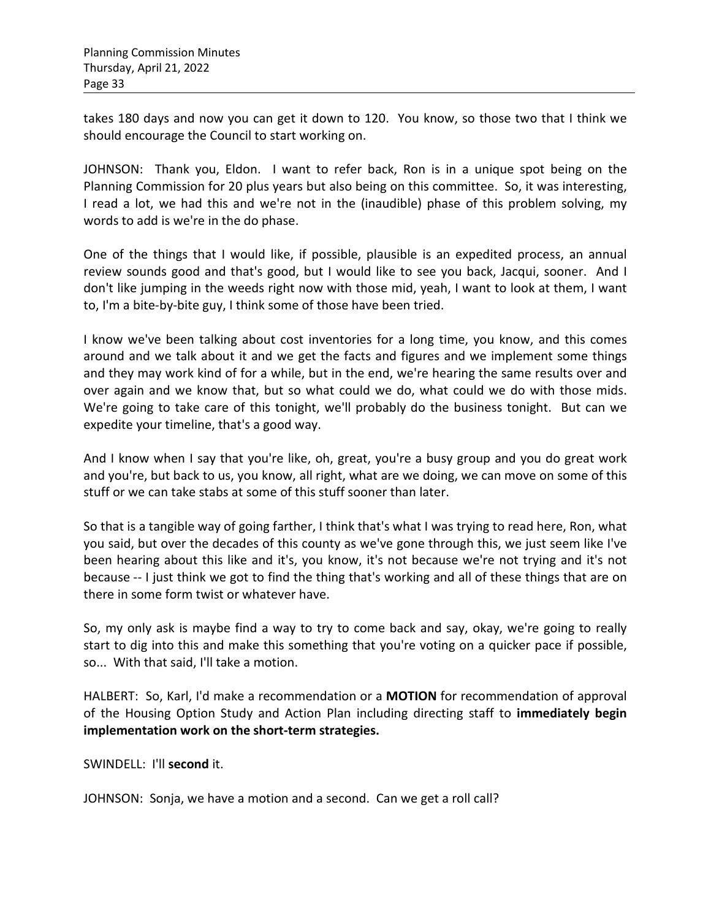takes 180 days and now you can get it down to 120. You know, so those two that I think we should encourage the Council to start working on.

JOHNSON: Thank you, Eldon. I want to refer back, Ron is in a unique spot being on the Planning Commission for 20 plus years but also being on this committee. So, it was interesting, I read a lot, we had this and we're not in the (inaudible) phase of this problem solving, my words to add is we're in the do phase.

One of the things that I would like, if possible, plausible is an expedited process, an annual review sounds good and that's good, but I would like to see you back, Jacqui, sooner. And I don't like jumping in the weeds right now with those mid, yeah, I want to look at them, I want to, I'm a bite-by-bite guy, I think some of those have been tried.

I know we've been talking about cost inventories for a long time, you know, and this comes around and we talk about it and we get the facts and figures and we implement some things and they may work kind of for a while, but in the end, we're hearing the same results over and over again and we know that, but so what could we do, what could we do with those mids. We're going to take care of this tonight, we'll probably do the business tonight. But can we expedite your timeline, that's a good way.

And I know when I say that you're like, oh, great, you're a busy group and you do great work and you're, but back to us, you know, all right, what are we doing, we can move on some of this stuff or we can take stabs at some of this stuff sooner than later.

So that is a tangible way of going farther, I think that's what I was trying to read here, Ron, what you said, but over the decades of this county as we've gone through this, we just seem like I've been hearing about this like and it's, you know, it's not because we're not trying and it's not because -- I just think we got to find the thing that's working and all of these things that are on there in some form twist or whatever have.

So, my only ask is maybe find a way to try to come back and say, okay, we're going to really start to dig into this and make this something that you're voting on a quicker pace if possible, so... With that said, I'll take a motion.

HALBERT: So, Karl, I'd make a recommendation or a **MOTION** for recommendation of approval of the Housing Option Study and Action Plan including directing staff to **immediately begin implementation work on the short-term strategies.** 

SWINDELL: I'll **second** it.

JOHNSON: Sonja, we have a motion and a second. Can we get a roll call?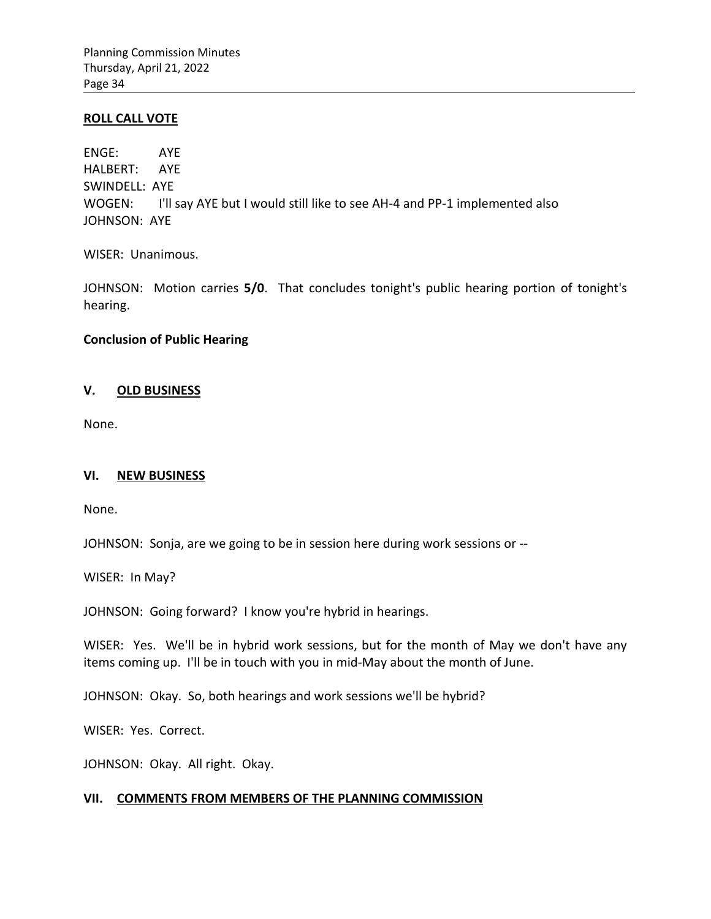#### **ROLL CALL VOTE**

ENGE: AYE HALBERT: AYE SWINDELL: AYE WOGEN: I'll say AYE but I would still like to see AH-4 and PP-1 implemented also JOHNSON: AYE

WISER: Unanimous.

JOHNSON: Motion carries **5/0**. That concludes tonight's public hearing portion of tonight's hearing.

### **Conclusion of Public Hearing**

### **V. OLD BUSINESS**

None.

## **VI. NEW BUSINESS**

None.

JOHNSON: Sonja, are we going to be in session here during work sessions or --

WISER: In May?

JOHNSON: Going forward? I know you're hybrid in hearings.

WISER: Yes. We'll be in hybrid work sessions, but for the month of May we don't have any items coming up. I'll be in touch with you in mid-May about the month of June.

JOHNSON: Okay. So, both hearings and work sessions we'll be hybrid?

WISER: Yes. Correct.

JOHNSON: Okay. All right. Okay.

## **VII. COMMENTS FROM MEMBERS OF THE PLANNING COMMISSION**